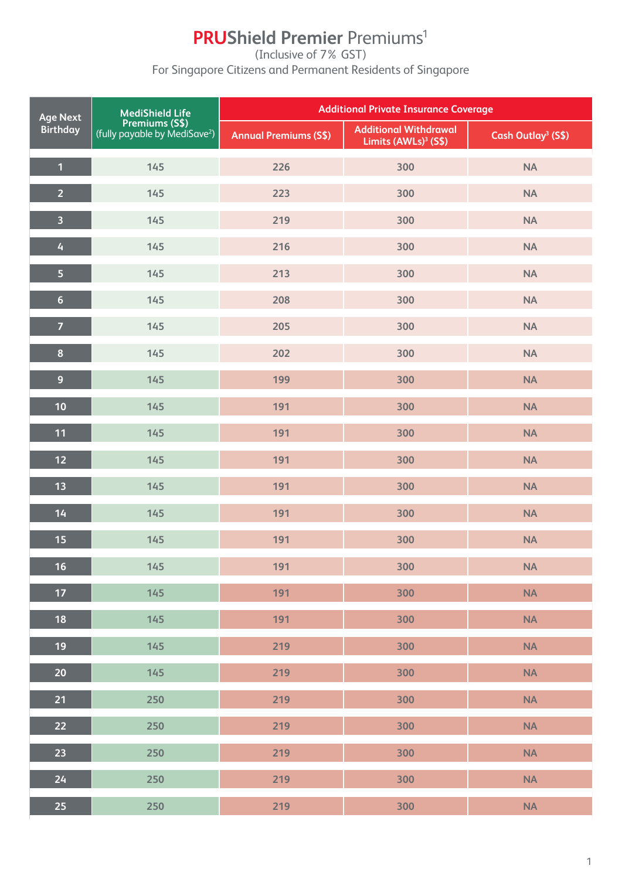# **PRUShield Premier Premiums<sup>1</sup>**

(Inclusive of 7% GST)

For Singapore Citizens and Permanent Residents of Singapore

| <b>MediShield Life</b><br><b>Age Next</b> |                                                                    | <b>Additional Private Insurance Coverage</b> |                                                                  |                                |  |
|-------------------------------------------|--------------------------------------------------------------------|----------------------------------------------|------------------------------------------------------------------|--------------------------------|--|
| <b>Birthday</b>                           | <b>Premiums (S\$)</b><br>(fully payable by MediSave <sup>2</sup> ) | <b>Annual Premiums (S\$)</b>                 | <b>Additional Withdrawal</b><br>Limits (AWLs) <sup>3</sup> (S\$) | Cash Outlay <sup>3</sup> (S\$) |  |
| $\mathbf{1}$                              | 145                                                                | 226                                          | 300                                                              | NA                             |  |
| $\overline{2}$                            | 145                                                                | 223                                          | 300                                                              | <b>NA</b>                      |  |
| $\overline{\mathbf{3}}$                   | 145                                                                | 219                                          | 300                                                              | <b>NA</b>                      |  |
| $\overline{4}$                            | 145                                                                | 216                                          | 300                                                              | NA                             |  |
| 5                                         | 145                                                                | 213                                          | 300                                                              | <b>NA</b>                      |  |
| $6\phantom{a}$                            | 145                                                                | 208                                          | 300                                                              | <b>NA</b>                      |  |
| $\overline{7}$                            | 145                                                                | 205                                          | 300                                                              | <b>NA</b>                      |  |
| $\pmb{8}$                                 | 145                                                                | 202                                          | 300                                                              | NA                             |  |
| $\overline{9}$                            | 145                                                                | 199                                          | 300                                                              | <b>NA</b>                      |  |
| 10                                        | 145                                                                | 191                                          | 300                                                              | <b>NA</b>                      |  |
| 11                                        | 145                                                                | 191                                          | 300                                                              | <b>NA</b>                      |  |
| 12                                        | 145                                                                | 191                                          | 300                                                              | <b>NA</b>                      |  |
| 13                                        | 145                                                                | 191                                          | 300                                                              | NA                             |  |
| 14                                        | 145                                                                | 191                                          | 300                                                              | <b>NA</b>                      |  |
| 15                                        | 145                                                                | 191                                          | 300                                                              | <b>NA</b>                      |  |
| 16 <sup>°</sup>                           | 145                                                                | 191                                          | 300                                                              | <b>NA</b>                      |  |
| 17                                        | 145                                                                | 191                                          | 300                                                              | <b>NA</b>                      |  |
| 18                                        | 145                                                                | 191                                          | 300                                                              | NA                             |  |
| 19                                        | 145                                                                | 219                                          | 300                                                              | <b>NA</b>                      |  |
| 20                                        | 145                                                                | 219                                          | 300                                                              | <b>NA</b>                      |  |
| 21                                        | 250                                                                | 219                                          | 300                                                              | <b>NA</b>                      |  |
| 22                                        | 250                                                                | 219                                          | 300                                                              | NA                             |  |
| 23                                        | 250                                                                | 219                                          | 300                                                              | <b>NA</b>                      |  |
| 24                                        | 250                                                                | 219                                          | 300                                                              | NA                             |  |
| 25                                        | 250                                                                | 219                                          | 300                                                              | <b>NA</b>                      |  |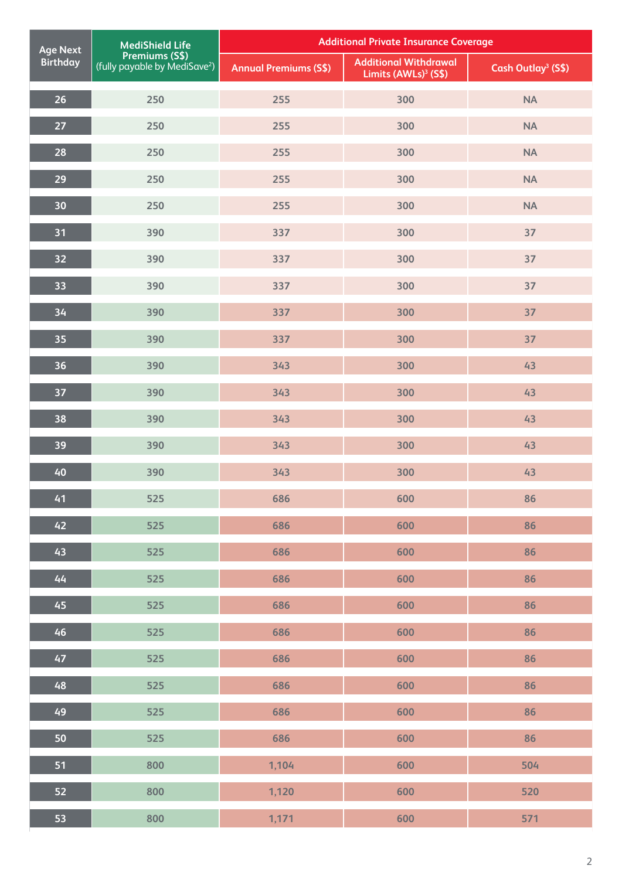| <b>Age Next</b> | <b>MediShield Life</b>                                             |                              | <b>Additional Private Insurance Coverage</b>                     |                                |  |
|-----------------|--------------------------------------------------------------------|------------------------------|------------------------------------------------------------------|--------------------------------|--|
| <b>Birthday</b> | <b>Premiums (S\$)</b><br>(fully payable by MediSave <sup>2</sup> ) | <b>Annual Premiums (S\$)</b> | <b>Additional Withdrawal</b><br>Limits (AWLs) <sup>3</sup> (S\$) | Cash Outlay <sup>3</sup> (S\$) |  |
| 26              | 250                                                                | 255                          | 300                                                              | <b>NA</b>                      |  |
| 27              | 250                                                                | 255                          | 300                                                              | <b>NA</b>                      |  |
| 28              | 250                                                                | 255                          | 300                                                              | <b>NA</b>                      |  |
| 29              | 250                                                                | 255                          | 300                                                              | <b>NA</b>                      |  |
| 30              | 250                                                                | 255                          | 300                                                              | <b>NA</b>                      |  |
| 31              | 390                                                                | 337                          | 300                                                              | 37                             |  |
| 32              | 390                                                                | 337                          | 300                                                              | 37                             |  |
| 33              | 390                                                                | 337                          | 300                                                              | 37                             |  |
| 34              | 390                                                                | 337                          | 300                                                              | 37                             |  |
| 35              | 390                                                                | 337                          | 300                                                              | 37                             |  |
| 36              | 390                                                                | 343                          | 300                                                              | 43                             |  |
| 37              | 390                                                                | 343                          | 300                                                              | 43                             |  |
| 38              | 390                                                                | 343                          | 300                                                              | 43                             |  |
| 39              | 390                                                                | 343                          | 300                                                              | 43                             |  |
| 40              | 390                                                                | 343                          | 300                                                              | 43                             |  |
| 41              | 525                                                                | 686                          | 600                                                              | 86                             |  |
| 42              | 525                                                                | 686                          | 600                                                              | 86                             |  |
| 43              | 525                                                                | 686                          | 600                                                              | 86                             |  |
| 44              | 525                                                                | 686                          | 600                                                              | 86                             |  |
| 45              | 525                                                                | 686                          | 600                                                              | 86                             |  |
| 46              | 525                                                                | 686                          | 600                                                              | 86                             |  |
| 47              | 525                                                                | 686                          | 600                                                              | 86                             |  |
| 48              | 525                                                                | 686                          | 600                                                              | 86                             |  |
| 49              | 525                                                                | 686                          | 600                                                              | 86                             |  |
| 50              | 525                                                                | 686                          | 600                                                              | 86                             |  |
| 51              | 800                                                                | 1,104                        | 600                                                              | 504                            |  |
| 52              | 800                                                                | 1,120                        | 600                                                              | 520                            |  |
| 53              | 800                                                                | 1,171                        | 600                                                              | 571                            |  |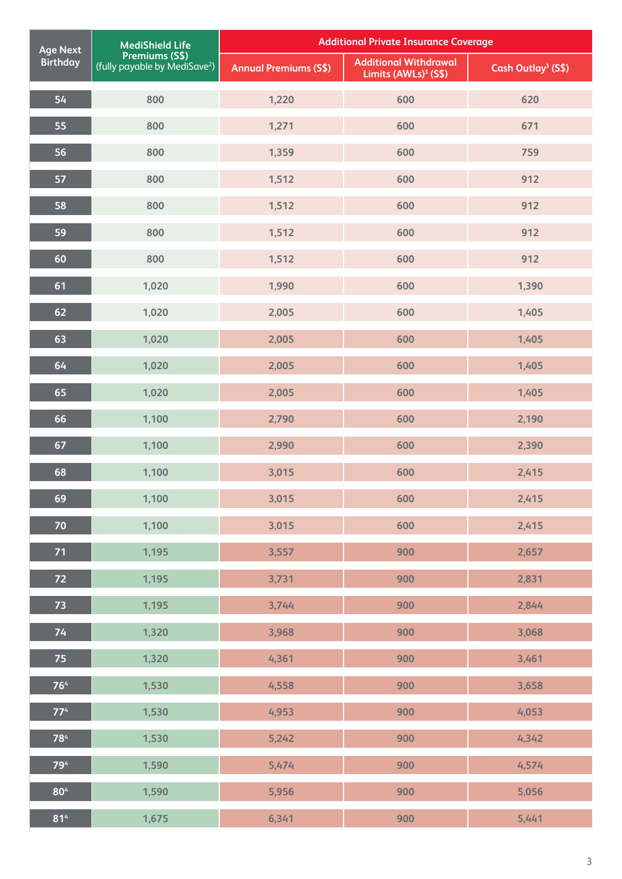| <b>Age Next</b> | <b>MediShield Life</b>                                      |                              | <b>Additional Private Insurance Coverage</b>                     |                                |
|-----------------|-------------------------------------------------------------|------------------------------|------------------------------------------------------------------|--------------------------------|
| <b>Birthday</b> | Premiums (S\$)<br>(fully payable by MediSave <sup>2</sup> ) | <b>Annual Premiums (S\$)</b> | <b>Additional Withdrawal</b><br>Limits (AWLs) <sup>3</sup> (S\$) | Cash Outlay <sup>3</sup> (S\$) |
| 54              | 800                                                         | 1,220                        | 600                                                              | 620                            |
| 55              | 800                                                         | 1,271                        | 600                                                              | 671                            |
| 56              | 800                                                         | 1,359                        | 600                                                              | 759                            |
| 57              | 800                                                         | 1,512                        | 600                                                              | 912                            |
| 58              | 800                                                         | 1,512                        | 600                                                              | 912                            |
| 59              | 800                                                         | 1,512                        | 600                                                              | 912                            |
| 60              | 800                                                         | 1,512                        | 600                                                              | 912                            |
| 61              | 1,020                                                       | 1,990                        | 600                                                              | 1,390                          |
| 62              | 1,020                                                       | 2,005                        | 600                                                              | 1,405                          |
| 63              | 1,020                                                       | 2,005                        | 600                                                              | 1,405                          |
| 64              | 1,020                                                       | 2,005                        | 600                                                              | 1,405                          |
| 65              | 1,020                                                       | 2,005                        | 600                                                              | 1,405                          |
| 66              | 1,100                                                       | 2,790                        | 600                                                              | 2,190                          |
| 67              | 1,100                                                       | 2,990                        | 600                                                              | 2,390                          |
| 68              | 1,100                                                       | 3,015                        | 600                                                              | 2,415                          |
| 69              | 1,100                                                       | 3,015                        | 600                                                              | 2,415                          |
| 70              | 1,100                                                       | 3,015                        | 600                                                              | 2,415                          |
| 71              | 1,195                                                       | 3,557                        | 900                                                              | 2,657                          |
| 72              | 1,195                                                       | 3,731                        | 900                                                              | 2,831                          |
| 73              | 1,195                                                       | 3,744                        | 900                                                              | 2,844                          |
| 74              | 1,320                                                       | 3,968                        | 900                                                              | 3,068                          |
| 75              | 1,320                                                       | 4,361                        | 900                                                              | 3,461                          |
| 76 <sup>4</sup> | 1,530                                                       | 4,558                        | 900                                                              | 3,658                          |
| 77 <sup>4</sup> | 1,530                                                       | 4,953                        | 900                                                              | 4,053                          |
| 784             | 1,530                                                       | 5,242                        | 900                                                              | 4,342                          |
| 794             | 1,590                                                       | 5,474                        | 900                                                              | 4,574                          |
| 80 <sup>4</sup> | 1,590                                                       | 5,956                        | 900                                                              | 5,056                          |
| 81 <sup>4</sup> | 1,675                                                       | 6,341                        | 900                                                              | 5,441                          |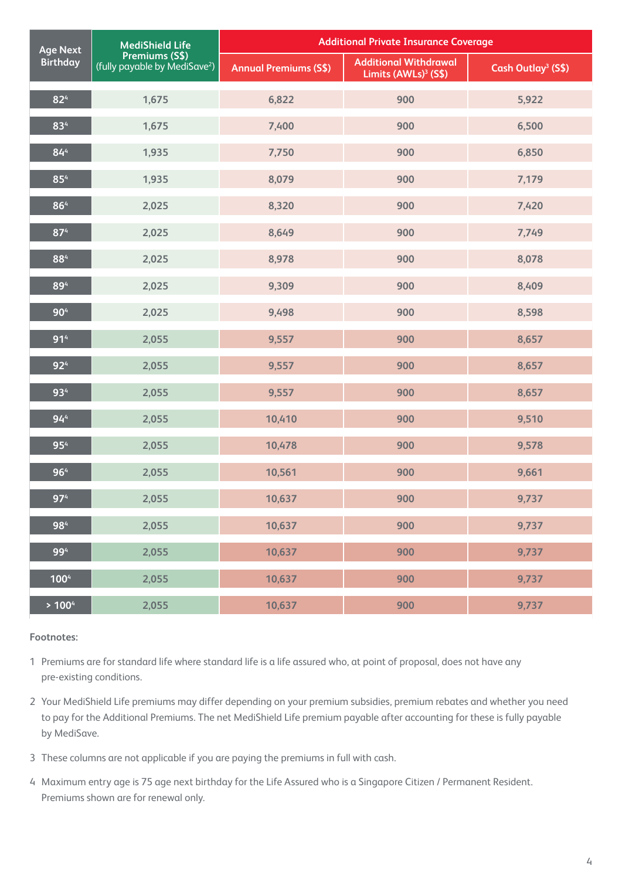| <b>MediShield Life</b><br><b>Age Next</b> |                                                             | <b>Additional Private Insurance Coverage</b> |                                                                  |                                |  |
|-------------------------------------------|-------------------------------------------------------------|----------------------------------------------|------------------------------------------------------------------|--------------------------------|--|
| <b>Birthday</b>                           | Premiums (S\$)<br>(fully payable by MediSave <sup>2</sup> ) | <b>Annual Premiums (S\$)</b>                 | <b>Additional Withdrawal</b><br>Limits (AWLs) <sup>3</sup> (S\$) | Cash Outlay <sup>3</sup> (S\$) |  |
| $82^{4}$                                  | 1,675                                                       | 6,822                                        | 900                                                              | 5,922                          |  |
| 834                                       | 1,675                                                       | 7,400                                        | 900                                                              | 6,500                          |  |
| 84 <sup>4</sup>                           | 1,935                                                       | 7,750                                        | 900                                                              | 6,850                          |  |
| 85 <sup>4</sup>                           | 1,935                                                       | 8,079                                        | 900                                                              | 7,179                          |  |
| 864                                       | 2,025                                                       | 8,320                                        | 900                                                              | 7,420                          |  |
| 874                                       | 2,025                                                       | 8,649                                        | 900                                                              | 7,749                          |  |
| 884                                       | 2,025                                                       | 8,978                                        | 900                                                              | 8,078                          |  |
| 894                                       | 2,025                                                       | 9,309                                        | 900                                                              | 8,409                          |  |
| 90 <sup>4</sup>                           | 2,025                                                       | 9,498                                        | 900                                                              | 8,598                          |  |
| 91 <sup>4</sup>                           | 2,055                                                       | 9,557                                        | 900                                                              | 8,657                          |  |
| 92 <sup>4</sup>                           | 2,055                                                       | 9,557                                        | 900                                                              | 8,657                          |  |
| 934                                       | 2,055                                                       | 9,557                                        | 900                                                              | 8,657                          |  |
| 94 <sup>4</sup>                           | 2,055                                                       | 10,410                                       | 900                                                              | 9,510                          |  |
| 954                                       | 2,055                                                       | 10,478                                       | 900                                                              | 9,578                          |  |
| 964                                       | 2,055                                                       | 10,561                                       | 900                                                              | 9,661                          |  |
| 97 <sup>4</sup>                           | 2,055                                                       | 10,637                                       | 900                                                              | 9,737                          |  |
| 984                                       | 2,055                                                       | 10,637                                       | 900                                                              | 9,737                          |  |
| 994                                       | 2,055                                                       | 10,637                                       | 900                                                              | 9,737                          |  |
| 1004                                      | 2,055                                                       | 10,637                                       | 900                                                              | 9,737                          |  |
| > 100 <sup>4</sup>                        | 2,055                                                       | 10,637                                       | 900                                                              | 9,737                          |  |

- 1 Premiums are for standard life where standard life is a life assured who, at point of proposal, does not have any pre-existing conditions.
- 2 Your MediShield Life premiums may differ depending on your premium subsidies, premium rebates and whether you need to pay for the Additional Premiums. The net MediShield Life premium payable after accounting for these is fully payable by MediSave.
- 3 These columns are not applicable if you are paying the premiums in full with cash.
- 4 Maximum entry age is 75 age next birthday for the Life Assured who is a Singapore Citizen / Permanent Resident. Premiums shown are for renewal only.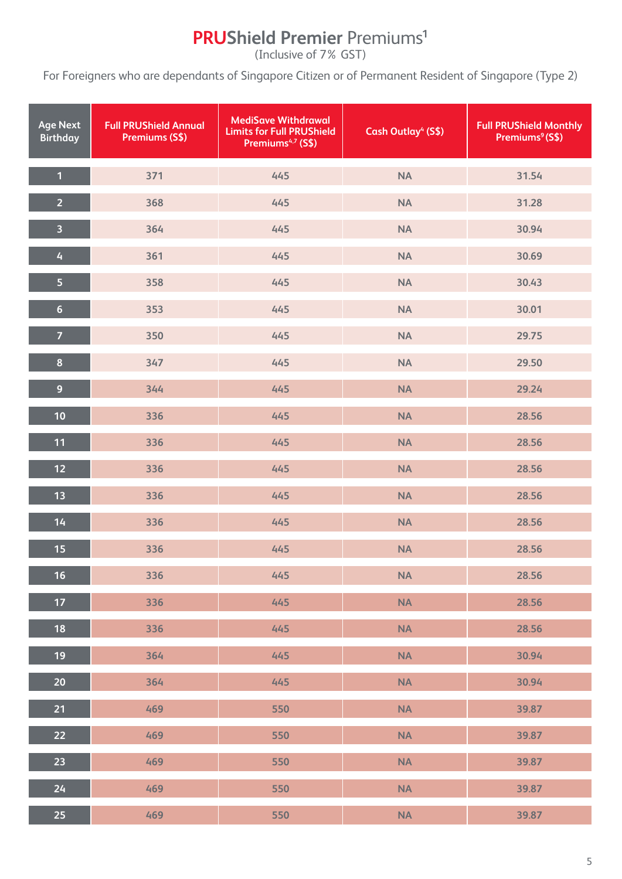# **PRUShield Premier** Premiums**<sup>1</sup>**

(Inclusive of 7% GST)

For Foreigners who are dependants of Singapore Citizen or of Permanent Resident of Singapore (Type 2)

| <b>Age Next</b><br><b>Birthday</b> | <b>Full PRUShield Annual</b><br>Premiums (S\$) | <b>MediSave Withdrawal</b><br><b>Limits for Full PRUShield</b><br>Premiums <sup>4,7</sup> (S\$) | Cash Outlay <sup>4</sup> (S\$) | <b>Full PRUShield Monthly</b><br>Premiums <sup>9</sup> (S\$) |
|------------------------------------|------------------------------------------------|-------------------------------------------------------------------------------------------------|--------------------------------|--------------------------------------------------------------|
| $\overline{1}$                     | 371                                            | 445                                                                                             | <b>NA</b>                      | 31.54                                                        |
| $\overline{2}$                     | 368                                            | 445                                                                                             | <b>NA</b>                      | 31.28                                                        |
| $\overline{\mathbf{3}}$            | 364                                            | 445                                                                                             | <b>NA</b>                      | 30.94                                                        |
| $\overline{4}$                     | 361                                            | 445                                                                                             | <b>NA</b>                      | 30.69                                                        |
| $\overline{\mathbf{5}}$            | 358                                            | 445                                                                                             | <b>NA</b>                      | 30.43                                                        |
| $6\phantom{a}$                     | 353                                            | 445                                                                                             | <b>NA</b>                      | 30.01                                                        |
| $\overline{7}$                     | 350                                            | 445                                                                                             | <b>NA</b>                      | 29.75                                                        |
| $\bf{8}$                           | 347                                            | 445                                                                                             | <b>NA</b>                      | 29.50                                                        |
| $\overline{9}$                     | 344                                            | 445                                                                                             | <b>NA</b>                      | 29.24                                                        |
| 10                                 | 336                                            | 445                                                                                             | <b>NA</b>                      | 28.56                                                        |
| 11                                 | 336                                            | 445                                                                                             | <b>NA</b>                      | 28.56                                                        |
| $12$                               | 336                                            | 445                                                                                             | <b>NA</b>                      | 28.56                                                        |
| 13                                 | 336                                            | 445                                                                                             | <b>NA</b>                      | 28.56                                                        |
| 14                                 | 336                                            | 445                                                                                             | <b>NA</b>                      | 28.56                                                        |
| 15                                 | 336                                            | 445                                                                                             | <b>NA</b>                      | 28.56                                                        |
| 16                                 | 336                                            | 445                                                                                             | <b>NA</b>                      | 28.56                                                        |
| $17$                               | 336                                            | 445                                                                                             | <b>NA</b>                      | 28.56                                                        |
| 18                                 | 336                                            | 445                                                                                             | <b>NA</b>                      | 28.56                                                        |
| 19                                 | 364                                            | 445                                                                                             | <b>NA</b>                      | 30.94                                                        |
| 20                                 | 364                                            | 445                                                                                             | <b>NA</b>                      | 30.94                                                        |
| 21                                 | 469                                            | 550                                                                                             | <b>NA</b>                      | 39.87                                                        |
| 22                                 | 469                                            | 550                                                                                             | <b>NA</b>                      | 39.87                                                        |
| 23                                 | 469                                            | 550                                                                                             | <b>NA</b>                      | 39.87                                                        |
| 24                                 | 469                                            | 550                                                                                             | <b>NA</b>                      | 39.87                                                        |
| 25                                 | 469                                            | 550                                                                                             | NA                             | 39.87                                                        |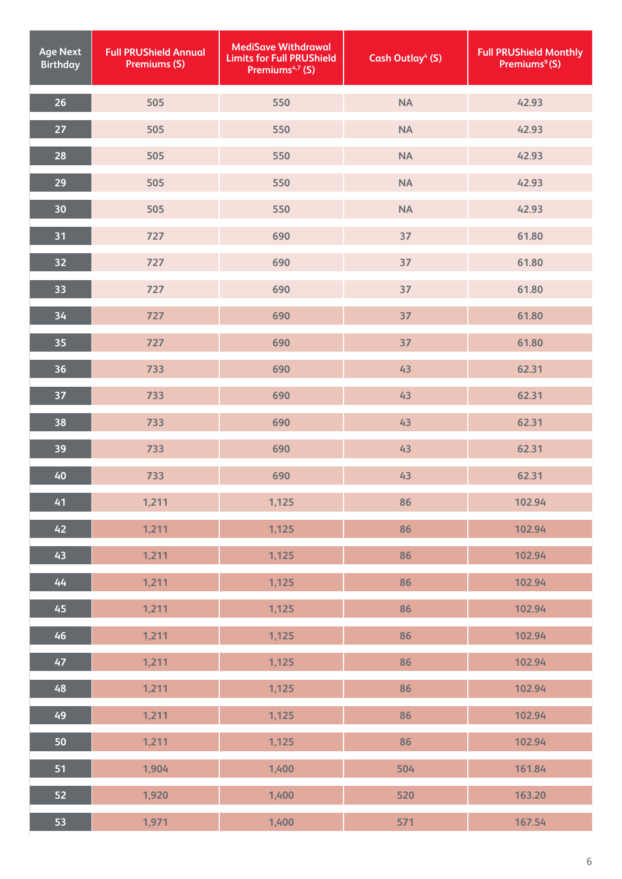| <b>Age Next</b><br><b>Birthday</b> | <b>Full PRUShield Annual</b><br><b>Premiums (S)</b> | <b>MediSave Withdrawal</b><br><b>Limits for Full PRUShield</b><br>Premiums <sup>4,7</sup> (S) | <b>Cash Outlay<sup>4</sup> (S)</b> | <b>Full PRUShield Monthly</b><br>Premiums <sup>9</sup> (S) |
|------------------------------------|-----------------------------------------------------|-----------------------------------------------------------------------------------------------|------------------------------------|------------------------------------------------------------|
| 26                                 | 505                                                 | 550                                                                                           | <b>NA</b>                          | 42.93                                                      |
| 27                                 | 505                                                 | 550                                                                                           | <b>NA</b>                          | 42.93                                                      |
| 28                                 | 505                                                 | 550                                                                                           | <b>NA</b>                          | 42.93                                                      |
| 29                                 | 505                                                 | 550                                                                                           | <b>NA</b>                          | 42.93                                                      |
| 30                                 | 505                                                 | 550                                                                                           | <b>NA</b>                          | 42.93                                                      |
| 31                                 | 727                                                 | 690                                                                                           | 37                                 | 61.80                                                      |
| 32                                 | 727                                                 | 690                                                                                           | 37                                 | 61.80                                                      |
| 33                                 | 727                                                 | 690                                                                                           | 37                                 | 61.80                                                      |
| 34                                 | 727                                                 | 690                                                                                           | 37                                 | 61.80                                                      |
| 35                                 | 727                                                 | 690                                                                                           | 37                                 | 61.80                                                      |
| 36                                 | 733                                                 | 690                                                                                           | 43                                 | 62.31                                                      |
| 37                                 | 733                                                 | 690                                                                                           | 43                                 | 62.31                                                      |
| 38                                 | 733                                                 | 690                                                                                           | 43                                 | 62.31                                                      |
| 39                                 | 733                                                 | 690                                                                                           | 43                                 | 62.31                                                      |
| 40                                 | 733                                                 | 690                                                                                           | 43                                 | 62.31                                                      |
| 41                                 | 1,211                                               | 1,125                                                                                         | 86                                 | 102.94                                                     |
| 42                                 | 1,211                                               | 1,125                                                                                         | 86                                 | 102.94                                                     |
| 43                                 | 1,211                                               | 1,125                                                                                         | 86                                 | 102.94                                                     |
| 44                                 | 1,211                                               | 1,125                                                                                         | 86                                 | 102.94                                                     |
| 45                                 | 1,211                                               | 1,125                                                                                         | 86                                 | 102.94                                                     |
| 46                                 | 1,211                                               | 1,125                                                                                         | 86                                 | 102.94                                                     |
| 47                                 | 1,211                                               | 1,125                                                                                         | 86                                 | 102.94                                                     |
| 48                                 | 1,211                                               | 1,125                                                                                         | 86                                 | 102.94                                                     |
| 49                                 | 1,211                                               | 1,125                                                                                         | 86                                 | 102.94                                                     |
| 50                                 | 1,211                                               | 1,125                                                                                         | 86                                 | 102.94                                                     |
| 51                                 | 1,904                                               | 1,400                                                                                         | 504                                | 161.84                                                     |
| 52                                 | 1,920                                               | 1,400                                                                                         | 520                                | 163.20                                                     |
| 53                                 | 1,971                                               | 1,400                                                                                         | 571                                | 167.54                                                     |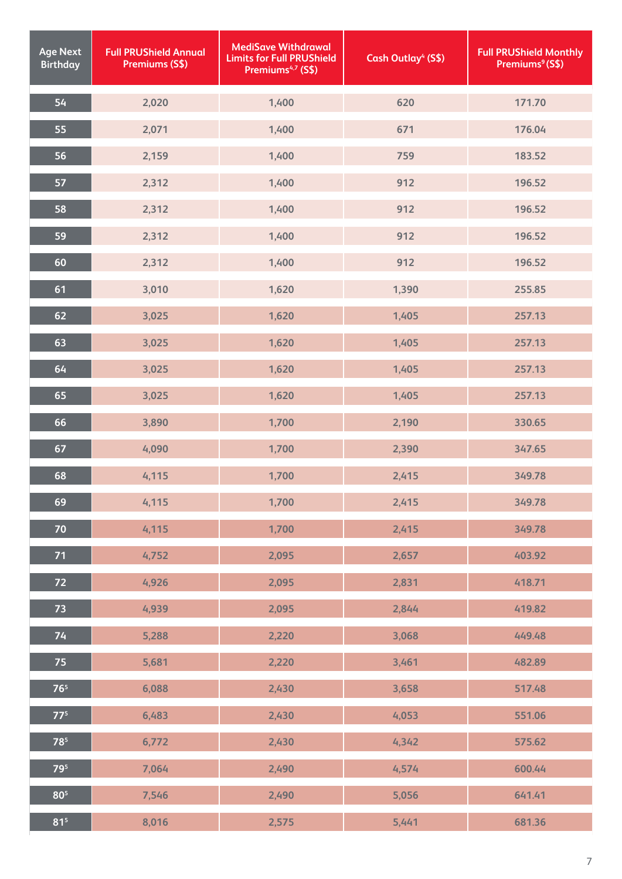| <b>Age Next</b><br><b>Birthday</b> | <b>Full PRUShield Annual</b><br>Premiums (S\$) | <b>MediSave Withdrawal</b><br><b>Limits for Full PRUShield</b><br>Premiums <sup>4,7</sup> (S\$) | Cash Outlay <sup>4</sup> (S\$) | <b>Full PRUShield Monthly</b><br>Premiums <sup>9</sup> (S\$) |
|------------------------------------|------------------------------------------------|-------------------------------------------------------------------------------------------------|--------------------------------|--------------------------------------------------------------|
| 54                                 | 2,020                                          | 1,400                                                                                           | 620                            | 171.70                                                       |
| 55                                 | 2,071                                          | 1,400                                                                                           | 671                            | 176.04                                                       |
| 56                                 | 2,159                                          | 1,400                                                                                           | 759                            | 183.52                                                       |
| 57                                 | 2,312                                          | 1,400                                                                                           | 912                            | 196.52                                                       |
| 58                                 | 2,312                                          | 1,400                                                                                           | 912                            | 196.52                                                       |
| 59                                 | 2,312                                          | 1,400                                                                                           | 912                            | 196.52                                                       |
| 60                                 | 2,312                                          | 1,400                                                                                           | 912                            | 196.52                                                       |
| 61                                 | 3,010                                          | 1,620                                                                                           | 1,390                          | 255.85                                                       |
| 62                                 | 3,025                                          | 1,620                                                                                           | 1,405                          | 257.13                                                       |
| 63                                 | 3,025                                          | 1,620                                                                                           | 1,405                          | 257.13                                                       |
| 64                                 | 3,025                                          | 1,620                                                                                           | 1,405                          | 257.13                                                       |
| 65                                 | 3,025                                          | 1,620                                                                                           | 1,405                          | 257.13                                                       |
| 66                                 | 3,890                                          | 1,700                                                                                           | 2,190                          | 330.65                                                       |
| 67                                 | 4,090                                          | 1,700                                                                                           | 2,390                          | 347.65                                                       |
| 68                                 | 4,115                                          | 1,700                                                                                           | 2,415                          | 349.78                                                       |
| 69                                 | 4,115                                          | 1,700                                                                                           | 2,415                          | 349.78                                                       |
| 70                                 | 4,115                                          | 1,700                                                                                           | 2,415                          | 349.78                                                       |
| 71                                 | 4,752                                          | 2,095                                                                                           | 2,657                          | 403.92                                                       |
| 72                                 | 4,926                                          | 2,095                                                                                           | 2,831                          | 418.71                                                       |
| 73                                 | 4,939                                          | 2,095                                                                                           | 2,844                          | 419.82                                                       |
| 74                                 | 5,288                                          | 2,220                                                                                           | 3,068                          | 449.48                                                       |
| 75                                 | 5,681                                          | 2,220                                                                                           | 3,461                          | 482.89                                                       |
| 76 <sup>5</sup>                    | 6,088                                          | 2,430                                                                                           | 3,658                          | 517.48                                                       |
| $77^5$                             | 6,483                                          | 2,430                                                                                           | 4,053                          | 551.06                                                       |
| 785                                | 6,772                                          | 2,430                                                                                           | 4,342                          | 575.62                                                       |
| 795                                | 7,064                                          | 2,490                                                                                           | 4,574                          | 600.44                                                       |
| 80 <sup>5</sup>                    | 7,546                                          | 2,490                                                                                           | 5,056                          | 641.41                                                       |
| 81 <sup>5</sup>                    | 8,016                                          | 2,575                                                                                           | 5,441                          | 681.36                                                       |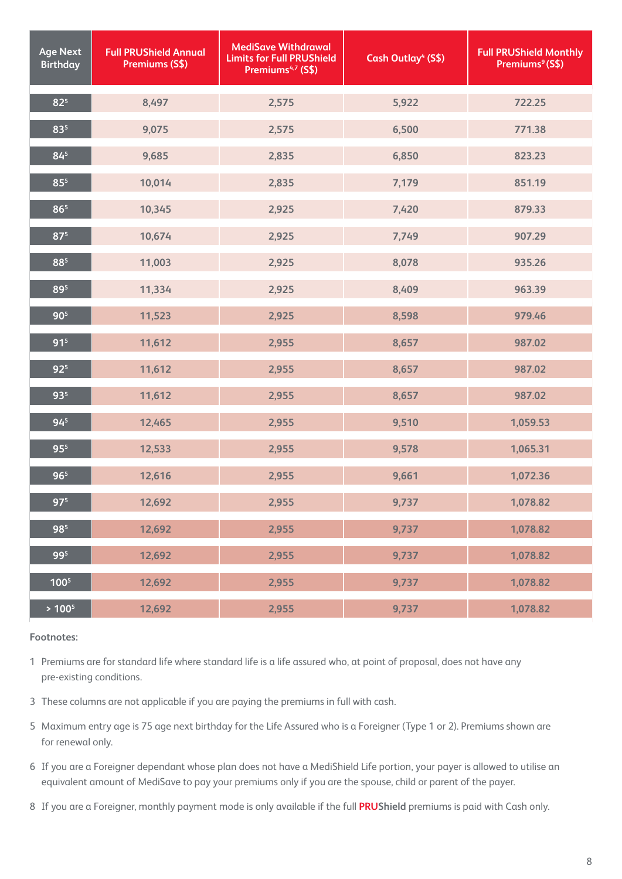| <b>Age Next</b><br><b>Birthday</b> | <b>Full PRUShield Annual</b><br>Premiums (S\$) | <b>MediSave Withdrawal</b><br><b>Limits for Full PRUShield</b><br>Premiums <sup>4,7</sup> (S\$) | Cash Outlay <sup>4</sup> (S\$) | <b>Full PRUShield Monthly</b><br>Premiums <sup>9</sup> (S\$) |
|------------------------------------|------------------------------------------------|-------------------------------------------------------------------------------------------------|--------------------------------|--------------------------------------------------------------|
| $82^{5}$                           | 8,497                                          | 2,575                                                                                           | 5,922                          | 722.25                                                       |
| 835                                | 9,075                                          | 2,575                                                                                           | 6,500                          | 771.38                                                       |
| 84 <sup>5</sup>                    | 9,685                                          | 2,835                                                                                           | 6,850                          | 823.23                                                       |
| 85 <sup>5</sup>                    | 10,014                                         | 2,835                                                                                           | 7,179                          | 851.19                                                       |
| 86 <sup>5</sup>                    | 10,345                                         | 2,925                                                                                           | 7,420                          | 879.33                                                       |
| 87 <sup>5</sup>                    | 10,674                                         | 2,925                                                                                           | 7,749                          | 907.29                                                       |
| 885                                | 11,003                                         | 2,925                                                                                           | 8,078                          | 935.26                                                       |
| 895                                | 11,334                                         | 2,925                                                                                           | 8,409                          | 963.39                                                       |
| 90 <sup>5</sup>                    | 11,523                                         | 2,925                                                                                           | 8,598                          | 979.46                                                       |
| 91 <sup>5</sup>                    | 11,612                                         | 2,955                                                                                           | 8,657                          | 987.02                                                       |
| $92^{5}$                           | 11,612                                         | 2,955                                                                                           | 8,657                          | 987.02                                                       |
| 93 <sup>5</sup>                    | 11,612                                         | 2,955                                                                                           | 8,657                          | 987.02                                                       |
| $94^{5}$                           | 12,465                                         | 2,955                                                                                           | 9,510                          | 1,059.53                                                     |
| 95 <sup>5</sup>                    | 12,533                                         | 2,955                                                                                           | 9,578                          | 1,065.31                                                     |
| 96 <sup>5</sup>                    | 12,616                                         | 2,955                                                                                           | 9,661                          | 1,072.36                                                     |
| 97 <sup>5</sup>                    | 12,692                                         | 2,955                                                                                           | 9,737                          | 1,078.82                                                     |
| 985                                | 12,692                                         | 2,955                                                                                           | 9,737                          | 1,078.82                                                     |
| 995                                | 12,692                                         | 2,955                                                                                           | 9,737                          | 1,078.82                                                     |
| 100 <sup>5</sup>                   | 12,692                                         | 2,955                                                                                           | 9,737                          | 1,078.82                                                     |
| $> 100^5$                          | 12,692                                         | 2,955                                                                                           | 9,737                          | 1,078.82                                                     |

- Premiums are for standard life where standard life is a life assured who, at point of proposal, does not have any pre-existing conditions.
- These columns are not applicable if you are paying the premiums in full with cash.
- Maximum entry age is 75 age next birthday for the Life Assured who is a Foreigner (Type 1 or 2). Premiums shown are for renewal only.
- If you are a Foreigner dependant whose plan does not have a MediShield Life portion, your payer is allowed to utilise an equivalent amount of MediSave to pay your premiums only if you are the spouse, child or parent of the payer.
- If you are a Foreigner, monthly payment mode is only available if the full **PRUShield** premiums is paid with Cash only.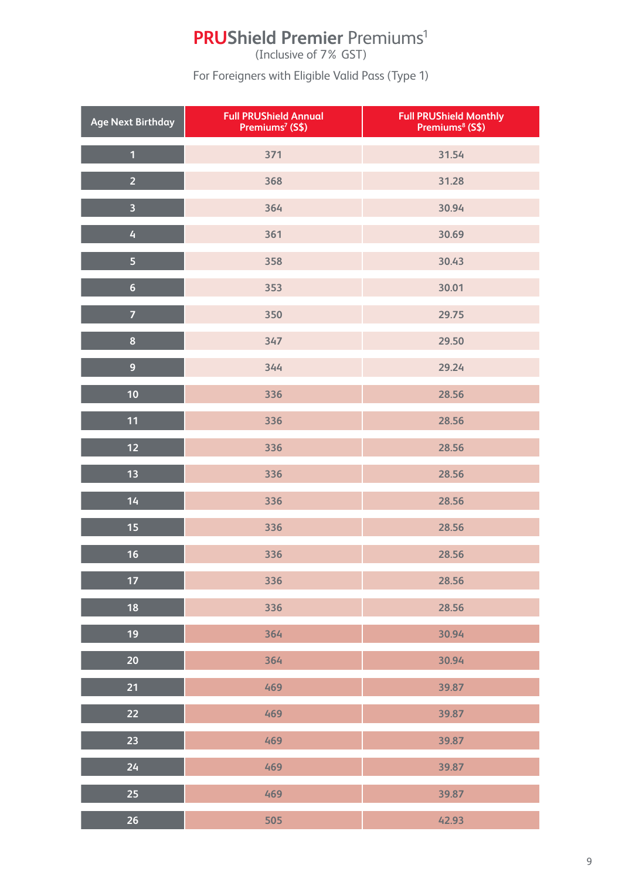# **PRUShield Premier Premiums<sup>1</sup>**

(Inclusive of 7% GST)

For Foreigners with Eligible Valid Pass (Type 1)

| <b>Age Next Birthday</b> | <b>Full PRUShield Annual</b><br>Premiums <sup>7</sup> (S\$) | <b>Full PRUShield Monthly</b><br>Premiums <sup>8</sup> (S\$) |
|--------------------------|-------------------------------------------------------------|--------------------------------------------------------------|
| $\overline{1}$           | 371                                                         | 31.54                                                        |
| $\overline{2}$           | 368                                                         | 31.28                                                        |
| $\overline{\mathbf{3}}$  | 364                                                         | 30.94                                                        |
| $\overline{4}$           | 361                                                         | 30.69                                                        |
| $\overline{\mathbf{5}}$  | 358                                                         | 30.43                                                        |
| $6\phantom{a}$           | 353                                                         | 30.01                                                        |
| $\overline{7}$           | 350                                                         | 29.75                                                        |
| 8                        | 347                                                         | 29.50                                                        |
| $\overline{9}$           | 344                                                         | 29.24                                                        |
| 10                       | 336                                                         | 28.56                                                        |
| 11                       | 336                                                         | 28.56                                                        |
| 12                       | 336                                                         | 28.56                                                        |
| 13                       | 336                                                         | 28.56                                                        |
| 14                       | 336                                                         | 28.56                                                        |
| 15                       | 336                                                         | 28.56                                                        |
| 16                       | 336                                                         | 28.56                                                        |
| 17                       | 336                                                         | 28.56                                                        |
| 18                       | 336                                                         | 28.56                                                        |
| 19                       | 364                                                         | 30.94                                                        |
| 20                       | 364                                                         | 30.94                                                        |
| 21                       | 469                                                         | 39.87                                                        |
| 22                       | 469                                                         | 39.87                                                        |
| 23                       | 469                                                         | 39.87                                                        |
| 24                       | 469                                                         | 39.87                                                        |
| 25                       | 469                                                         | 39.87                                                        |
| 26                       | 505                                                         | 42.93                                                        |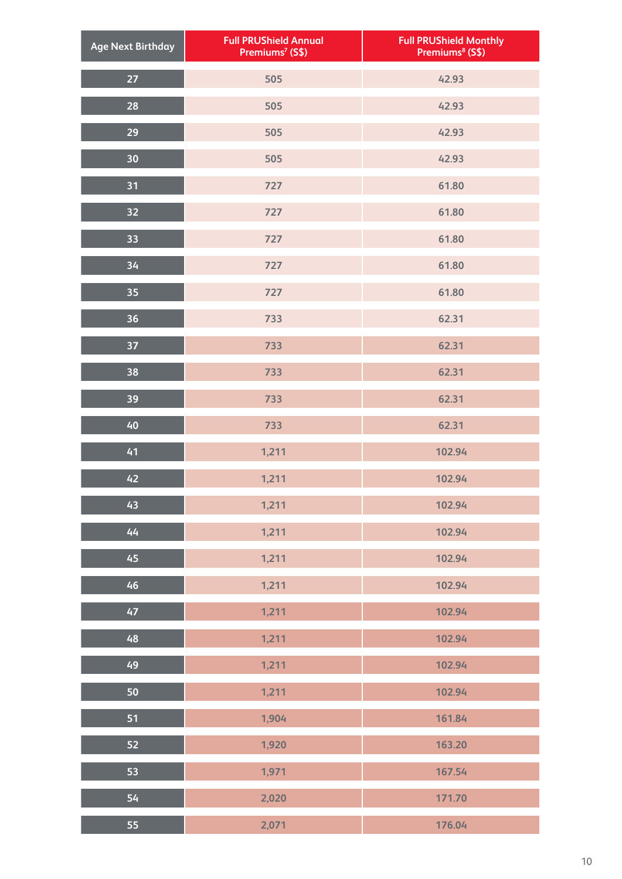| <b>Age Next Birthday</b> | <b>Full PRUShield Annual</b><br>Premiums <sup>7</sup> (S\$) | <b>Full PRUShield Monthly<br/>Premiums<sup>8</sup> (S\$)</b> |
|--------------------------|-------------------------------------------------------------|--------------------------------------------------------------|
| 27                       | 505                                                         | 42.93                                                        |
| 28                       | 505                                                         | 42.93                                                        |
| 29                       | 505                                                         | 42.93                                                        |
| 30                       | 505                                                         | 42.93                                                        |
| 31                       | 727                                                         | 61.80                                                        |
| 32                       | 727                                                         | 61.80                                                        |
| 33                       | 727                                                         | 61.80                                                        |
| 34                       | 727                                                         | 61.80                                                        |
| 35                       | 727                                                         | 61.80                                                        |
| 36                       | 733                                                         | 62.31                                                        |
| 37                       | 733                                                         | 62.31                                                        |
| 38                       | 733                                                         | 62.31                                                        |
| 39                       | 733                                                         | 62.31                                                        |
| 40                       | 733                                                         | 62.31                                                        |
| 41                       | 1,211                                                       | 102.94                                                       |
| 42                       | 1,211                                                       | 102.94                                                       |
| 43                       | 1,211                                                       | 102.94                                                       |
| 44                       | 1,211                                                       | 102.94                                                       |
| 45                       | 1,211                                                       | 102.94                                                       |
| 46                       | 1,211                                                       | 102.94                                                       |
| 47                       | 1,211                                                       | 102.94                                                       |
| 48                       | 1,211                                                       | 102.94                                                       |
| 49                       | 1,211                                                       | 102.94                                                       |
| 50                       | 1,211                                                       | 102.94                                                       |
| 51                       | 1,904                                                       | 161.84                                                       |
| 52                       | 1,920                                                       | 163.20                                                       |
| 53                       | 1,971                                                       | 167.54                                                       |
| 54                       | 2,020                                                       | 171.70                                                       |
| 55                       | 2,071                                                       | 176.04                                                       |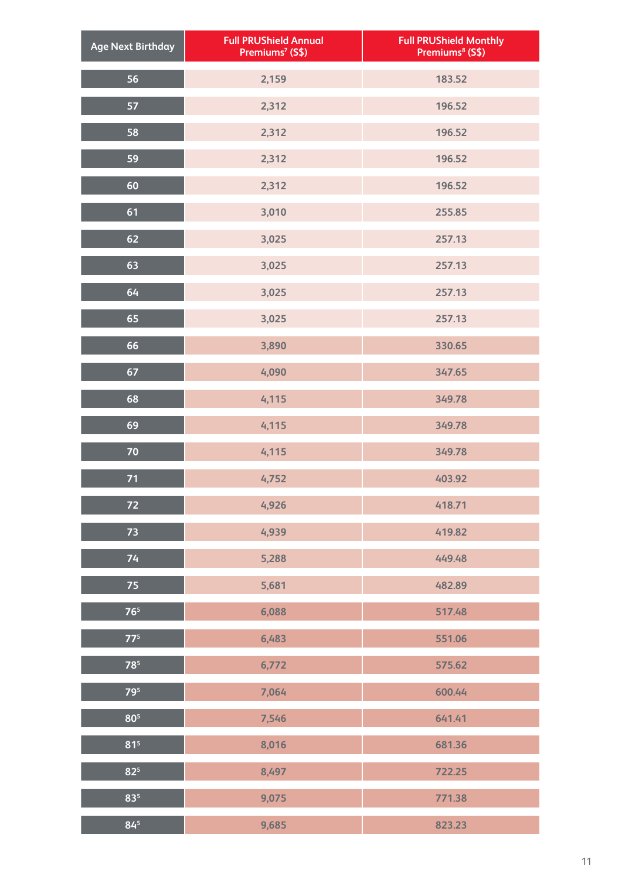| <b>Age Next Birthday</b> | <b>Full PRUShield Annual</b><br>Premiums <sup>7</sup> (S\$) | Full PRUShield Monthly<br>Premiums <sup>8</sup> (S\$) |
|--------------------------|-------------------------------------------------------------|-------------------------------------------------------|
| 56                       | 2,159                                                       | 183.52                                                |
| 57                       | 2,312                                                       | 196.52                                                |
| 58                       | 2,312                                                       | 196.52                                                |
| 59                       | 2,312                                                       | 196.52                                                |
| 60                       | 2,312                                                       | 196.52                                                |
| 61                       | 3,010                                                       | 255.85                                                |
| 62                       | 3,025                                                       | 257.13                                                |
| 63                       | 3,025                                                       | 257.13                                                |
| 64                       | 3,025                                                       | 257.13                                                |
| 65                       | 3,025                                                       | 257.13                                                |
| 66                       | 3,890                                                       | 330.65                                                |
| 67                       | 4,090                                                       | 347.65                                                |
| 68                       | 4,115                                                       | 349.78                                                |
| 69                       | 4,115                                                       | 349.78                                                |
| 70                       | 4,115                                                       | 349.78                                                |
| 71                       | 4,752                                                       | 403.92                                                |
| 72                       | 4,926                                                       | 418.71                                                |
| $\overline{73}$          | 4,939                                                       | 419.82                                                |
| 74                       | 5,288                                                       | 449.48                                                |
| 75                       | 5,681                                                       | 482.89                                                |
| 76 <sup>5</sup>          | 6,088                                                       | 517.48                                                |
| $77^5$                   | 6,483                                                       | 551.06                                                |
| 785                      | 6,772                                                       | 575.62                                                |
| 795                      | 7,064                                                       | 600.44                                                |
| 80 <sup>5</sup>          | 7,546                                                       | 641.41                                                |
| 81 <sup>5</sup>          | 8,016                                                       | 681.36                                                |
| 82 <sup>5</sup>          | 8,497                                                       | 722.25                                                |
| $83^{5}$                 | 9,075                                                       | 771.38                                                |
| $84^{5}$                 | 9,685                                                       | 823.23                                                |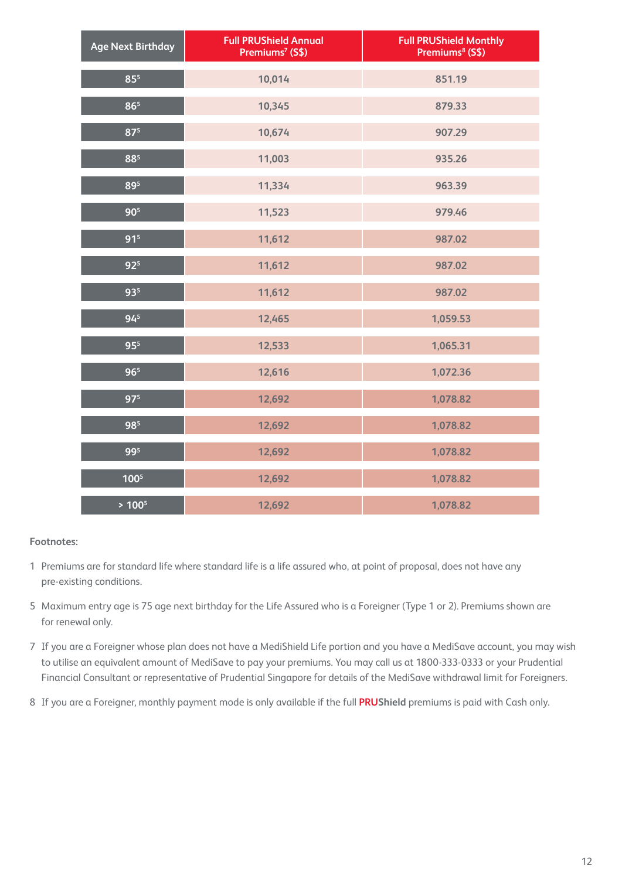| <b>Age Next Birthday</b> | <b>Full PRUShield Annual</b><br>Premiums <sup>7</sup> (S\$) | <b>Full PRUShield Monthly</b><br>Premiums <sup>8</sup> (S\$) |
|--------------------------|-------------------------------------------------------------|--------------------------------------------------------------|
| 85 <sup>5</sup>          | 10,014                                                      | 851.19                                                       |
| 865                      | 10,345                                                      | 879.33                                                       |
| 87 <sup>5</sup>          | 10,674                                                      | 907.29                                                       |
| 885                      | 11,003                                                      | 935.26                                                       |
| 895                      | 11,334                                                      | 963.39                                                       |
| 90 <sup>5</sup>          | 11,523                                                      | 979.46                                                       |
| 91 <sup>5</sup>          | 11,612                                                      | 987.02                                                       |
| 92 <sup>5</sup>          | 11,612                                                      | 987.02                                                       |
| 935                      | 11,612                                                      | 987.02                                                       |
| 94 <sup>5</sup>          | 12,465                                                      | 1,059.53                                                     |
| 95 <sup>5</sup>          | 12,533                                                      | 1,065.31                                                     |
| 96 <sup>5</sup>          | 12,616                                                      | 1,072.36                                                     |
| 97 <sup>5</sup>          | 12,692                                                      | 1,078.82                                                     |
| 985                      | 12,692                                                      | 1,078.82                                                     |
| 995                      | 12,692                                                      | 1,078.82                                                     |
| 100 <sup>5</sup>         | 12,692                                                      | 1,078.82                                                     |
| $> 100^5$                | 12,692                                                      | 1,078.82                                                     |

- Premiums are for standard life where standard life is a life assured who, at point of proposal, does not have any pre-existing conditions.
- Maximum entry age is 75 age next birthday for the Life Assured who is a Foreigner (Type 1 or 2). Premiums shown are for renewal only.
- If you are a Foreigner whose plan does not have a MediShield Life portion and you have a MediSave account, you may wish to utilise an equivalent amount of MediSave to pay your premiums. You may call us at 1800-333-0333 or your Prudential Financial Consultant or representative of Prudential Singapore for details of the MediSave withdrawal limit for Foreigners.
- If you are a Foreigner, monthly payment mode is only available if the full **PRUShield** premiums is paid with Cash only.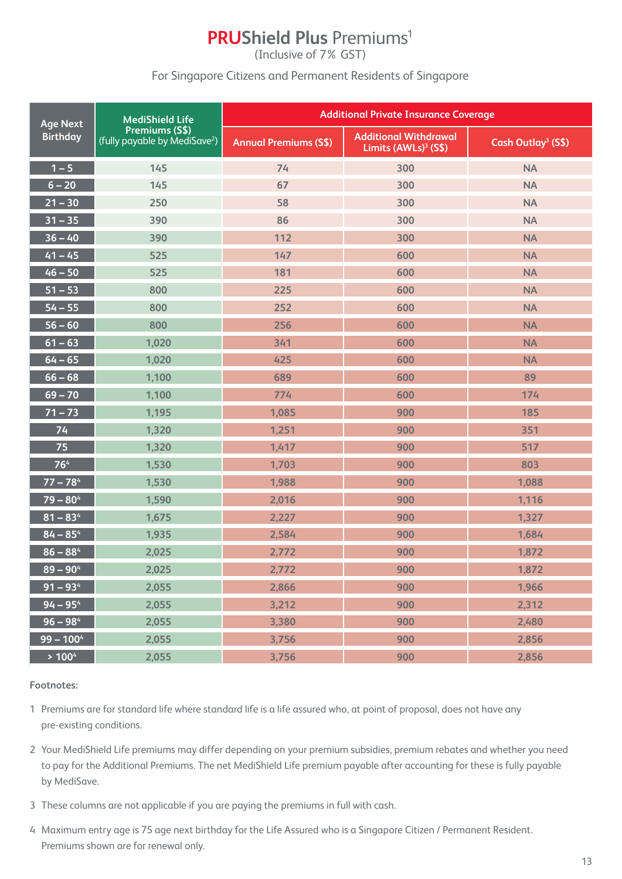### **PRUShield Plus Premiums<sup>1</sup>**

(Inclusive of 7% GST)

### For Singapore Citizens and Permanent Residents of Singapore

| <b>Age Next</b>      | <b>MediShield Life</b>                                      | <b>Additional Private Insurance Coverage</b> |                                                                  |                                |
|----------------------|-------------------------------------------------------------|----------------------------------------------|------------------------------------------------------------------|--------------------------------|
| <b>Birthday</b>      | Premiums (S\$)<br>(fully payable by MediSave <sup>2</sup> ) | <b>Annual Premiums (S\$)</b>                 | <b>Additional Withdrawal</b><br>Limits (AWLs) <sup>3</sup> (S\$) | Cash Outlay <sup>3</sup> (S\$) |
| $1 - 5$              | 145                                                         | 74                                           | 300                                                              | <b>NA</b>                      |
| $6 - 20$             | 145                                                         | 67                                           | 300                                                              | <b>NA</b>                      |
| $21 - 30$            | 250                                                         | 58                                           | 300                                                              | <b>NA</b>                      |
| $31 - 35$            | 390                                                         | 86                                           | 300                                                              | <b>NA</b>                      |
| $36 - 40$            | 390                                                         | 112                                          | 300                                                              | <b>NA</b>                      |
| $41 - 45$            | 525                                                         | 147                                          | 600                                                              | <b>NA</b>                      |
| $46 - 50$            | 525                                                         | 181                                          | 600                                                              | <b>NA</b>                      |
| $51 - 53$            | 800                                                         | 225                                          | 600                                                              | <b>NA</b>                      |
| $54 - 55$            | 800                                                         | 252                                          | 600                                                              | <b>NA</b>                      |
| $56 - 60$            | 800                                                         | 256                                          | 600                                                              | <b>NA</b>                      |
| $61 - 63$            | 1,020                                                       | 341                                          | 600                                                              | <b>NA</b>                      |
| $\overline{64} - 65$ | 1,020                                                       | 425                                          | 600                                                              | <b>NA</b>                      |
| $66 - 68$            | 1,100                                                       | 689                                          | 600                                                              | 89                             |
| $69 - 70$            | 1,100                                                       | 774                                          | 600                                                              | 174                            |
| $71 - 73$            | 1,195                                                       | 1,085                                        | 900                                                              | 185                            |
| 74                   | 1,320                                                       | 1,251                                        | 900                                                              | 351                            |
| 75                   | 1,320                                                       | 1,417                                        | 900                                                              | 517                            |
| 764                  | 1,530                                                       | 1,703                                        | 900                                                              | 803                            |
| $77 - 784$           | 1,530                                                       | 1,988                                        | 900                                                              | 1,088                          |
| $79 - 804$           | 1,590                                                       | 2,016                                        | 900                                                              | 1,116                          |
| $81 - 834$           | 1,675                                                       | 2,227                                        | 900                                                              | 1,327                          |
| $84 - 854$           | 1,935                                                       | 2,584                                        | 900                                                              | 1,684                          |
| $86 - 884$           | 2,025                                                       | 2,772                                        | 900                                                              | 1,872                          |
| $89 - 90^4$          | 2,025                                                       | 2,772                                        | 900                                                              | 1,872                          |
| $91 - 934$           | 2,055                                                       | 2,866                                        | 900                                                              | 1,966                          |
| $94 - 954$           | 2,055                                                       | 3,212                                        | 900                                                              | 2,312                          |
| $96 - 984$           | 2,055                                                       | 3,380                                        | 900                                                              | 2,480                          |
| $99 - 1004$          | 2,055                                                       | 3,756                                        | 900                                                              | 2,856                          |
| > 100 <sup>4</sup>   | 2,055                                                       | 3,756                                        | 900                                                              | 2,856                          |

- 1 Premiums are for standard life where standard life is a life assured who, at point of proposal, does not have any pre-existing conditions.
- 2 Your MediShield Life premiums may differ depending on your premium subsidies, premium rebates and whether you need to pay for the Additional Premiums. The net MediShield Life premium payable after accounting for these is fully payable by MediSave.
- 3 These columns are not applicable if you are paying the premiums in full with cash.
- 4 Maximum entry age is 75 age next birthday for the Life Assured who is a Singapore Citizen / Permanent Resident. Premiums shown are for renewal only.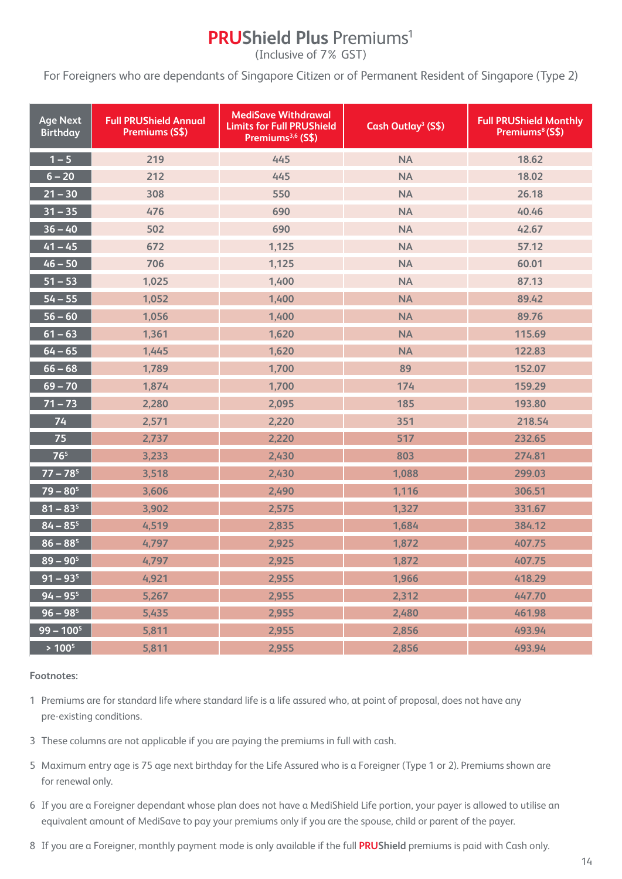## **PRUShield Plus Premiums<sup>1</sup>**

(Inclusive of 7% GST)

For Foreigners who are dependants of Singapore Citizen or of Permanent Resident of Singapore (Type 2)

| <b>Age Next</b><br><b>Birthday</b> | <b>Full PRUShield Annual</b><br>Premiums (S\$) | <b>MediSave Withdrawal</b><br><b>Limits for Full PRUShield</b><br>Premiums <sup>3,6</sup> (S\$) | Cash Outlay <sup>3</sup> (S\$) | <b>Full PRUShield Monthly</b><br>Premiums <sup>8</sup> (S\$) |
|------------------------------------|------------------------------------------------|-------------------------------------------------------------------------------------------------|--------------------------------|--------------------------------------------------------------|
| $1 - 5$                            | 219                                            | 445                                                                                             | <b>NA</b>                      | 18.62                                                        |
| $6 - 20$                           | 212                                            | 445                                                                                             | <b>NA</b>                      | 18.02                                                        |
| $21 - 30$                          | 308                                            | 550                                                                                             | <b>NA</b>                      | 26.18                                                        |
| $31 - 35$                          | 476                                            | 690                                                                                             | <b>NA</b>                      | 40.46                                                        |
| $36 - 40$                          | 502                                            | 690                                                                                             | <b>NA</b>                      | 42.67                                                        |
| $\sqrt{41} - 45$                   | 672                                            | 1,125                                                                                           | <b>NA</b>                      | 57.12                                                        |
| $\overline{46} - 50$               | 706                                            | 1,125                                                                                           | <b>NA</b>                      | 60.01                                                        |
| $51 - 53$                          | 1,025                                          | 1,400                                                                                           | <b>NA</b>                      | 87.13                                                        |
| $54 - 55$                          | 1,052                                          | 1,400                                                                                           | <b>NA</b>                      | 89.42                                                        |
| $56 - 60$                          | 1,056                                          | 1,400                                                                                           | <b>NA</b>                      | 89.76                                                        |
| $61 - 63$                          | 1,361                                          | 1,620                                                                                           | <b>NA</b>                      | 115.69                                                       |
| $64 - 65$                          | 1,445                                          | 1,620                                                                                           | <b>NA</b>                      | 122.83                                                       |
| $66 - 68$                          | 1,789                                          | 1,700                                                                                           | 89                             | 152.07                                                       |
| $69 - 70$                          | 1,874                                          | 1,700                                                                                           | 174                            | 159.29                                                       |
| $\overline{71} - \overline{73}$    | 2,280                                          | 2,095                                                                                           | 185                            | 193.80                                                       |
| 74                                 | 2,571                                          | 2,220                                                                                           | 351                            | 218.54                                                       |
| 75                                 | 2,737                                          | 2,220                                                                                           | 517                            | 232.65                                                       |
| 76 <sup>5</sup>                    | 3,233                                          | 2,430                                                                                           | 803                            | 274.81                                                       |
| $\overline{77} - \overline{78^5}$  | 3,518                                          | 2,430                                                                                           | 1,088                          | 299.03                                                       |
| $79 - 80^5$                        | 3,606                                          | 2,490                                                                                           | 1,116                          | 306.51                                                       |
| $81 - 83^{5}$                      | 3,902                                          | 2,575                                                                                           | 1,327                          | 331.67                                                       |
| $84 - 85$ <sup>5</sup>             | 4,519                                          | 2,835                                                                                           | 1,684                          | 384.12                                                       |
| $86 - 88^5$                        | 4,797                                          | 2,925                                                                                           | 1,872                          | 407.75                                                       |
| $89 - 90^5$                        | 4,797                                          | 2,925                                                                                           | 1,872                          | 407.75                                                       |
| $91 - 935$                         | 4,921                                          | 2,955                                                                                           | 1,966                          | 418.29                                                       |
| $94 - 955$                         | 5,267                                          | 2,955                                                                                           | 2,312                          | 447.70                                                       |
| $96 - 98$ <sup>5</sup>             | 5,435                                          | 2,955                                                                                           | 2,480                          | 461.98                                                       |
| $99 - 100^5$                       | 5,811                                          | 2,955                                                                                           | 2,856                          | 493.94                                                       |
| $> 100^5$                          | 5,811                                          | 2,955                                                                                           | 2,856                          | 493.94                                                       |

**Footnotes:** 

1 Premiums are for standard life where standard life is a life assured who, at point of proposal, does not have any pre-existing conditions.

- 3 These columns are not applicable if you are paying the premiums in full with cash.
- 5 Maximum entry age is 75 age next birthday for the Life Assured who is a Foreigner (Type 1 or 2). Premiums shown are for renewal only.
- 6 If you are a Foreigner dependant whose plan does not have a MediShield Life portion, your payer is allowed to utilise an equivalent amount of MediSave to pay your premiums only if you are the spouse, child or parent of the payer.
- 8 If you are a Foreigner, monthly payment mode is only available if the full **PRUShield** premiums is paid with Cash only.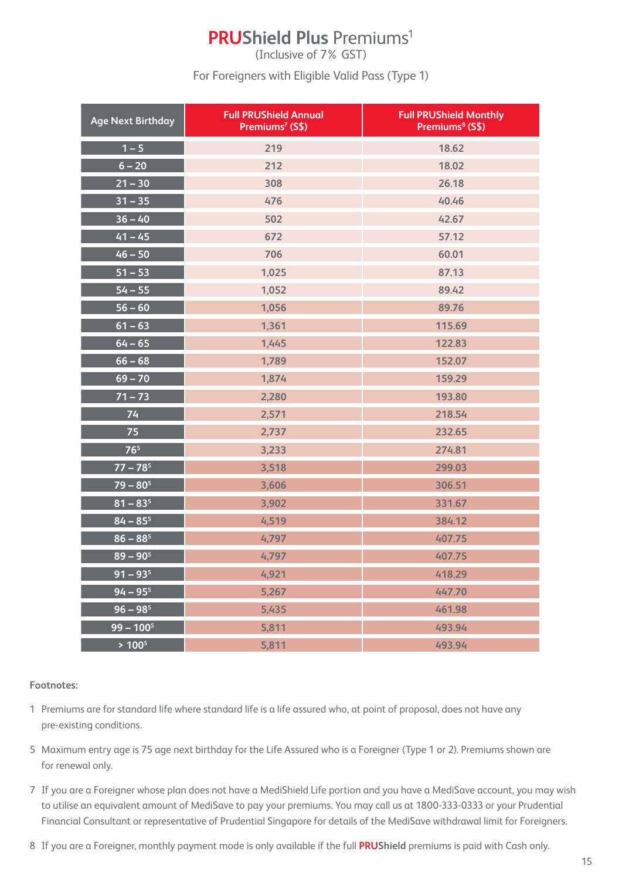## **PRUShield Plus Premiums<sup>1</sup>**

(Inclusive of 7% GST)

For Foreigners with Eligible Valid Pass (Type 1)

| <b>Age Next Birthday</b> | <b>Full PRUShield Annual</b><br>Premiums <sup>7</sup> (S\$) | <b>Full PRUShield Monthly</b><br>Premiums <sup>8</sup> (S\$) |
|--------------------------|-------------------------------------------------------------|--------------------------------------------------------------|
| $1 - 5$                  | 219                                                         | 18.62                                                        |
| $6 - 20$                 | 212                                                         | 18.02                                                        |
| $21 - 30$                | 308                                                         | 26.18                                                        |
| $31 - 35$                | 476                                                         | 40.46                                                        |
| $36 - 40$                | 502                                                         | 42.67                                                        |
| $41 - 45$                | 672                                                         | 57.12                                                        |
| $46 - 50$                | 706                                                         | 60.01                                                        |
| $51 - 53$                | 1,025                                                       | 87.13                                                        |
| $54 - 55$                | 1,052                                                       | 89.42                                                        |
| $56 - 60$                | 1,056                                                       | 89.76                                                        |
| $61 - 63$                | 1,361                                                       | 115.69                                                       |
| $64 - 65$                | 1,445                                                       | 122.83                                                       |
| $66 - 68$                | 1,789                                                       | 152.07                                                       |
| $69 - 70$                | 1,874                                                       | 159.29                                                       |
| $71 - 73$                | 2,280                                                       | 193.80                                                       |
| 74                       | 2,571                                                       | 218.54                                                       |
| 75                       | 2,737                                                       | 232.65                                                       |
| 76 <sup>5</sup>          | 3,233                                                       | 274.81                                                       |
| $77 - 78^5$              | 3,518                                                       | 299.03                                                       |
| $79 - 80^5$              | 3,606                                                       | 306.51                                                       |
| $81 - 83^{5}$            | 3,902                                                       | 331.67                                                       |
| $84 - 85$ <sup>5</sup>   | 4,519                                                       | 384.12                                                       |
| $86 - 88^5$              | 4,797                                                       | 407.75                                                       |
| $89 - 90^5$              | 4,797                                                       | 407.75                                                       |
| $91 - 935$               | 4,921                                                       | 418.29                                                       |
| $94 - 955$               | 5,267                                                       | 447.70                                                       |
| $96 - 98^5$              | 5,435                                                       | 461.98                                                       |
| $99 - 100^5$             | 5,811                                                       | 493.94                                                       |
| $> 100^5$                | 5,811                                                       | 493.94                                                       |

- 1 Premiums are for standard life where standard life is a life assured who, at point of proposal, does not have any pre-existing conditions.
- 5 Maximum entry age is 75 age next birthday for the Life Assured who is a Foreigner (Type 1 or 2). Premiums shown are for renewal only.
- 7 If you are a Foreigner whose plan does not have a MediShield Life portion and you have a MediSave account, you may wish to utilise an equivalent amount of MediSave to pay your premiums. You may call us at 1800-333-0333 or your Prudential Financial Consultant or representative of Prudential Singapore for details of the MediSave withdrawal limit for Foreigners.
- 8 If you are a Foreigner, monthly payment mode is only available if the full **PRUShield** premiums is paid with Cash only.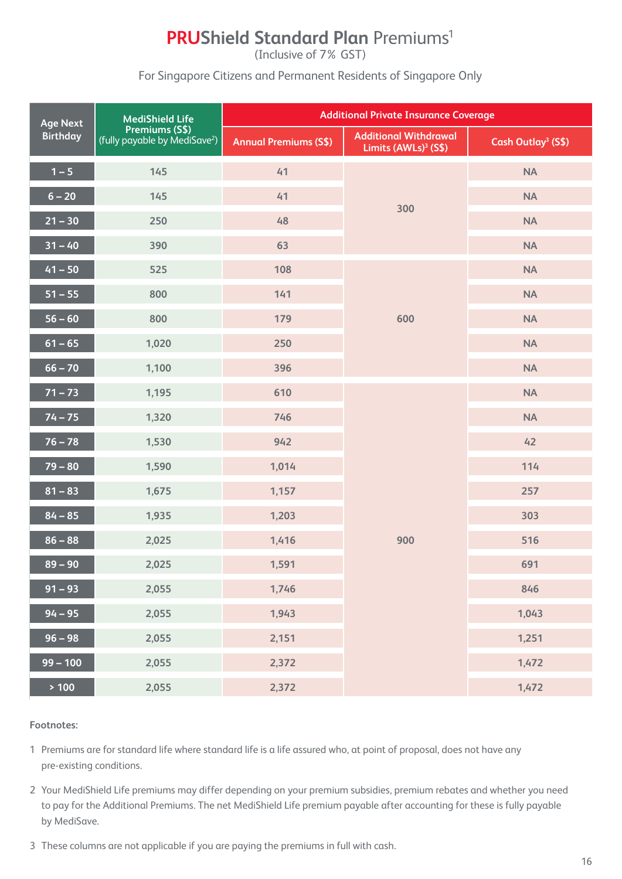## **PRUShield Standard Plan Premiums<sup>1</sup>**

(Inclusive of 7% GST)

For Singapore Citizens and Permanent Residents of Singapore Only

| <b>Age Next</b> | <b>MediShield Life</b>                                      |                              | <b>Additional Private Insurance Coverage</b>                     |                                |
|-----------------|-------------------------------------------------------------|------------------------------|------------------------------------------------------------------|--------------------------------|
| <b>Birthday</b> | Premiums (S\$)<br>(fully payable by MediSave <sup>2</sup> ) | <b>Annual Premiums (S\$)</b> | <b>Additional Withdrawal</b><br>Limits (AWLs) <sup>3</sup> (S\$) | Cash Outlay <sup>3</sup> (S\$) |
| $1 - 5$         | 145                                                         | 41                           |                                                                  | <b>NA</b>                      |
| $6 - 20$        | 145                                                         | 41                           | 300                                                              | <b>NA</b>                      |
| $21 - 30$       | 250                                                         | 48                           |                                                                  | <b>NA</b>                      |
| $31 - 40$       | 390                                                         | 63                           |                                                                  | <b>NA</b>                      |
| $41 - 50$       | 525                                                         | 108                          |                                                                  | <b>NA</b>                      |
| $51 - 55$       | 800                                                         | 141                          |                                                                  | <b>NA</b>                      |
| $56 - 60$       | 800                                                         | 179                          | 600                                                              | <b>NA</b>                      |
| $61 - 65$       | 1,020                                                       | 250                          |                                                                  | <b>NA</b>                      |
| $66 - 70$       | 1,100                                                       | 396                          |                                                                  | <b>NA</b>                      |
| $71 - 73$       | 1,195                                                       | 610                          |                                                                  | <b>NA</b>                      |
| $74 - 75$       | 1,320                                                       | 746                          |                                                                  | <b>NA</b>                      |
| $76 - 78$       | 1,530                                                       | 942                          |                                                                  | 42                             |
| $79 - 80$       | 1,590                                                       | 1,014                        |                                                                  | 114                            |
| $81 - 83$       | 1,675                                                       | 1,157                        |                                                                  | 257                            |
| $84 - 85$       | 1,935                                                       | 1,203                        |                                                                  | 303                            |
| $86 - 88$       | 2,025                                                       | 1,416                        | 900                                                              | 516                            |
| $89 - 90$       | 2,025                                                       | 1,591                        |                                                                  | 691                            |
| $91 - 93$       | 2,055                                                       | 1,746                        |                                                                  | 846                            |
| $94 - 95$       | 2,055                                                       | 1,943                        |                                                                  | 1,043                          |
| $96 - 98$       | 2,055                                                       | 2,151                        |                                                                  | 1,251                          |
| $99 - 100$      | 2,055                                                       | 2,372                        |                                                                  | 1,472                          |
| > 100           | 2,055                                                       | 2,372                        |                                                                  | 1,472                          |

- 1 Premiums are for standard life where standard life is a life assured who, at point of proposal, does not have any pre-existing conditions.
- 2 Your MediShield Life premiums may differ depending on your premium subsidies, premium rebates and whether you need to pay for the Additional Premiums. The net MediShield Life premium payable after accounting for these is fully payable by MediSave.
- 3 These columns are not applicable if you are paying the premiums in full with cash.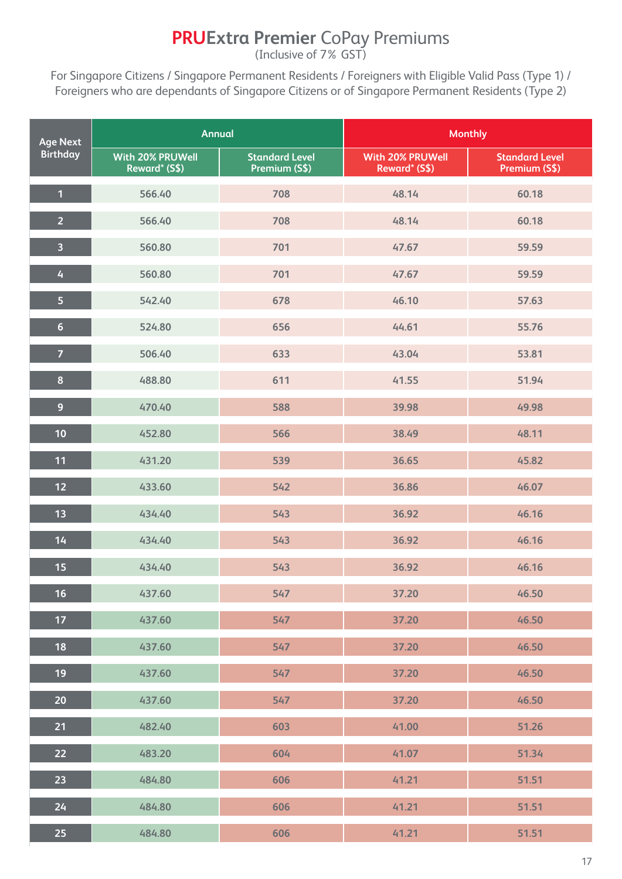## **PRUExtra Premier** CoPay Premiums

(Inclusive of 7% GST)

For Singapore Citizens / Singapore Permanent Residents / Foreigners with Eligible Valid Pass (Type 1) / Foreigners who are dependants of Singapore Citizens or of Singapore Permanent Residents (Type 2)

| <b>Age Next</b>         | <b>Annual</b>                            |                                        | <b>Monthly</b>                    |                                        |
|-------------------------|------------------------------------------|----------------------------------------|-----------------------------------|----------------------------------------|
| <b>Birthday</b>         | <b>With 20% PRUWell</b><br>Reward* (S\$) | <b>Standard Level</b><br>Premium (S\$) | With 20% PRUWell<br>Reward* (S\$) | <b>Standard Level</b><br>Premium (S\$) |
| $\overline{1}$          | 566.40                                   | 708                                    | 48.14                             | 60.18                                  |
| $\overline{2}$          | 566.40                                   | 708                                    | 48.14                             | 60.18                                  |
| $\overline{\mathbf{3}}$ | 560.80                                   | 701                                    | 47.67                             | 59.59                                  |
| $\overline{4}$          | 560.80                                   | 701                                    | 47.67                             | 59.59                                  |
| 5                       | 542.40                                   | 678                                    | 46.10                             | 57.63                                  |
| $6\phantom{a}$          | 524.80                                   | 656                                    | 44.61                             | 55.76                                  |
| $\overline{7}$          | 506.40                                   | 633                                    | 43.04                             | 53.81                                  |
| $\pmb{8}$               | 488.80                                   | 611                                    | 41.55                             | 51.94                                  |
| $\overline{9}$          | 470.40                                   | 588                                    | 39.98                             | 49.98                                  |
| 10                      | 452.80                                   | 566                                    | 38.49                             | 48.11                                  |
| 11                      | 431.20                                   | 539                                    | 36.65                             | 45.82                                  |
| $12$                    | 433.60                                   | 542                                    | 36.86                             | 46.07                                  |
| 13                      | 434.40                                   | 543                                    | 36.92                             | 46.16                                  |
| 14                      | 434.40                                   | 543                                    | 36.92                             | 46.16                                  |
| 15                      | 434.40                                   | 543                                    | 36.92                             | 46.16                                  |
| 16                      | 437.60                                   | 547                                    | 37.20                             | 46.50                                  |
| 17                      | 437.60                                   | 547                                    | 37.20                             | 46.50                                  |
| 18                      | 437.60                                   | 547                                    | 37.20                             | 46.50                                  |
| 19                      | 437.60                                   | 547                                    | 37.20                             | 46.50                                  |
| 20                      | 437.60                                   | 547                                    | 37.20                             | 46.50                                  |
| 21                      | 482.40                                   | 603                                    | 41.00                             | 51.26                                  |
| 22                      | 483.20                                   | 604                                    | 41.07                             | 51.34                                  |
| 23                      | 484.80                                   | 606                                    | 41.21                             | 51.51                                  |
| 24                      | 484.80                                   | 606                                    | 41.21                             | 51.51                                  |
| 25 <sub>1</sub>         | 484.80                                   | 606                                    | 41.21                             | 51.51                                  |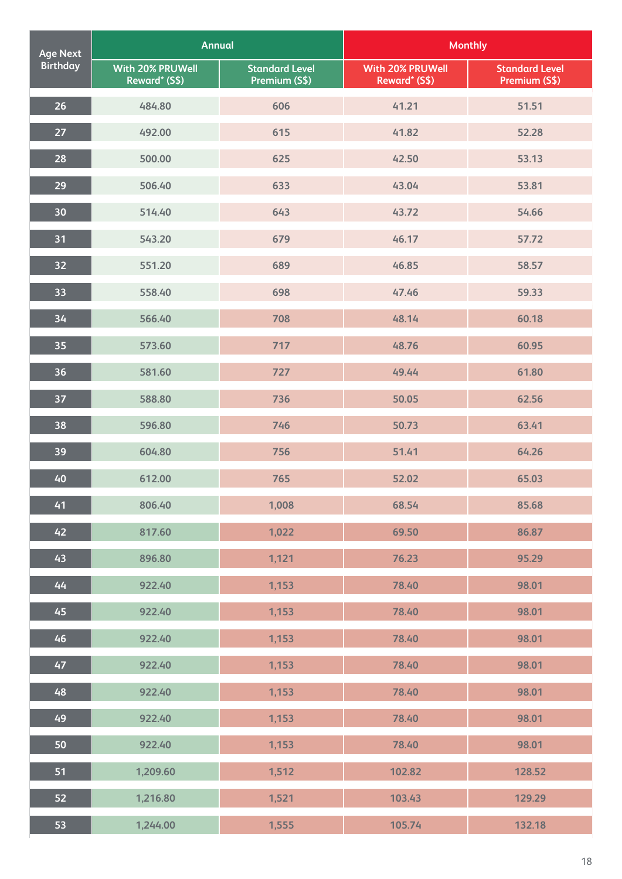| <b>Age Next</b> | <b>Annual</b>                     |                                        | <b>Monthly</b>                    |                                        |
|-----------------|-----------------------------------|----------------------------------------|-----------------------------------|----------------------------------------|
| <b>Birthday</b> | With 20% PRUWell<br>Reward* (S\$) | <b>Standard Level</b><br>Premium (S\$) | With 20% PRUWell<br>Reward* (S\$) | <b>Standard Level</b><br>Premium (S\$) |
| 26              | 484.80                            | 606                                    | 41.21                             | 51.51                                  |
| 27              | 492.00                            | 615                                    | 41.82                             | 52.28                                  |
| 28              | 500.00                            | 625                                    | 42.50                             | 53.13                                  |
| 29              | 506.40                            | 633                                    | 43.04                             | 53.81                                  |
| 30              | 514.40                            | 643                                    | 43.72                             | 54.66                                  |
| 31              | 543.20                            | 679                                    | 46.17                             | 57.72                                  |
| 32              | 551.20                            | 689                                    | 46.85                             | 58.57                                  |
| 33              | 558.40                            | 698                                    | 47.46                             | 59.33                                  |
| 34              | 566.40                            | 708                                    | 48.14                             | 60.18                                  |
| 35              | 573.60                            | 717                                    | 48.76                             | 60.95                                  |
| 36              | 581.60                            | 727                                    | 49.44                             | 61.80                                  |
| 37              | 588.80                            | 736                                    | 50.05                             | 62.56                                  |
| 38              | 596.80                            | 746                                    | 50.73                             | 63.41                                  |
| 39              | 604.80                            | 756                                    | 51.41                             | 64.26                                  |
| 40              | 612.00                            | 765                                    | 52.02                             | 65.03                                  |
| 41              | 806.40                            | 1,008                                  | 68.54                             | 85.68                                  |
| 42              | 817.60                            | 1,022                                  | 69.50                             | 86.87                                  |
| 43              | 896.80                            | 1,121                                  | 76.23                             | 95.29                                  |
| 44              | 922.40                            | 1,153                                  | 78.40                             | 98.01                                  |
| 45              | 922.40                            | 1,153                                  | 78.40                             | 98.01                                  |
| 46              | 922.40                            | 1,153                                  | 78.40                             | 98.01                                  |
| 47              | 922.40                            | 1,153                                  | 78.40                             | 98.01                                  |
| 48              | 922.40                            | 1,153                                  | 78.40                             | 98.01                                  |
| 49              | 922.40                            | 1,153                                  | 78.40                             | 98.01                                  |
| 50              | 922.40                            | 1,153                                  | 78.40                             | 98.01                                  |
| 51              | 1,209.60                          | 1,512                                  | 102.82                            | 128.52                                 |
| 52              | 1,216.80                          | 1,521                                  | 103.43                            | 129.29                                 |
| 53              | 1,244.00                          | 1,555                                  | 105.74                            | 132.18                                 |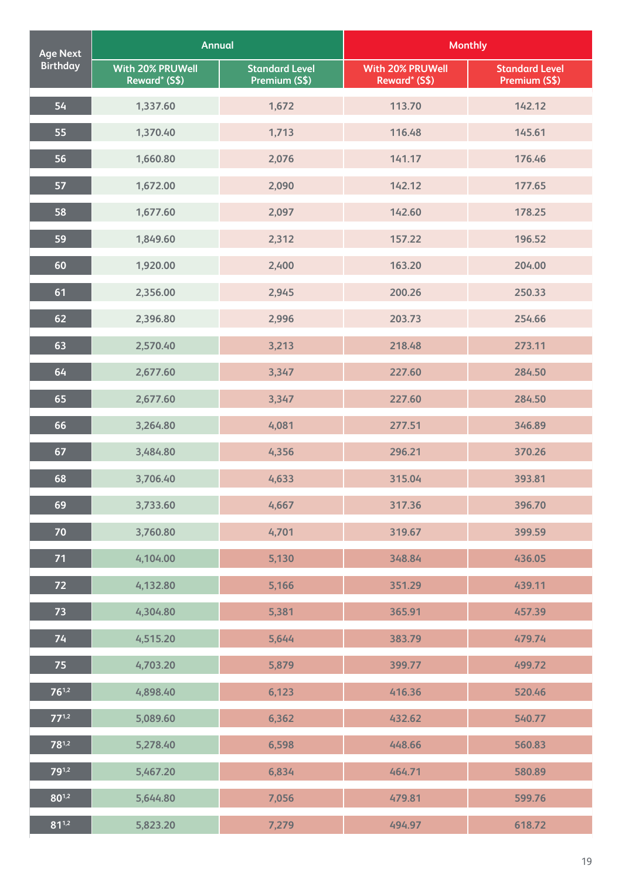| <b>Age Next</b> | <b>Annual</b>                     |                                        | <b>Monthly</b>                    |                                        |
|-----------------|-----------------------------------|----------------------------------------|-----------------------------------|----------------------------------------|
| <b>Birthday</b> | With 20% PRUWell<br>Reward* (S\$) | <b>Standard Level</b><br>Premium (S\$) | With 20% PRUWell<br>Reward* (S\$) | <b>Standard Level</b><br>Premium (S\$) |
| 54              | 1,337.60                          | 1,672                                  | 113.70                            | 142.12                                 |
| 55              | 1,370.40                          | 1,713                                  | 116.48                            | 145.61                                 |
| 56              | 1,660.80                          | 2,076                                  | 141.17                            | 176.46                                 |
| 57              | 1,672.00                          | 2,090                                  | 142.12                            | 177.65                                 |
| 58              | 1,677.60                          | 2,097                                  | 142.60                            | 178.25                                 |
| 59              | 1,849.60                          | 2,312                                  | 157.22                            | 196.52                                 |
| 60              | 1,920.00                          | 2,400                                  | 163.20                            | 204.00                                 |
| 61              | 2,356.00                          | 2,945                                  | 200.26                            | 250.33                                 |
| 62              | 2,396.80                          | 2,996                                  | 203.73                            | 254.66                                 |
| 63              | 2,570.40                          | 3,213                                  | 218.48                            | 273.11                                 |
| 64              | 2,677.60                          | 3,347                                  | 227.60                            | 284.50                                 |
| 65              | 2,677.60                          | 3,347                                  | 227.60                            | 284.50                                 |
| 66              | 3,264.80                          | 4,081                                  | 277.51                            | 346.89                                 |
| 67              | 3,484.80                          | 4,356                                  | 296.21                            | 370.26                                 |
| 68              | 3,706.40                          | 4,633                                  | 315.04                            | 393.81                                 |
| 69              | 3,733.60                          | 4,667                                  | 317.36                            | 396.70                                 |
| $70$            | 3,760.80                          | 4,701                                  | 319.67                            | 399.59                                 |
| 71              | 4,104.00                          | 5,130                                  | 348.84                            | 436.05                                 |
| 72              | 4,132.80                          | 5,166                                  | 351.29                            | 439.11                                 |
| 73              | 4,304.80                          | 5,381                                  | 365.91                            | 457.39                                 |
| 74              | 4,515.20                          | 5,644                                  | 383.79                            | 479.74                                 |
| 75              | 4,703.20                          | 5,879                                  | 399.77                            | 499.72                                 |
| $76^{1,2}$      | 4,898.40                          | 6,123                                  | 416.36                            | 520.46                                 |
| $77^{1,2}$      | 5,089.60                          | 6,362                                  | 432.62                            | 540.77                                 |
| $78^{1,2}$      | 5,278.40                          | 6,598                                  | 448.66                            | 560.83                                 |
| $79^{1,2}$      | 5,467.20                          | 6,834                                  | 464.71                            | 580.89                                 |
| $80^{1,2}$      | 5,644.80                          | 7,056                                  | 479.81                            | 599.76                                 |
| $81^{1,2}$      | 5,823.20                          | 7,279                                  | 494.97                            | 618.72                                 |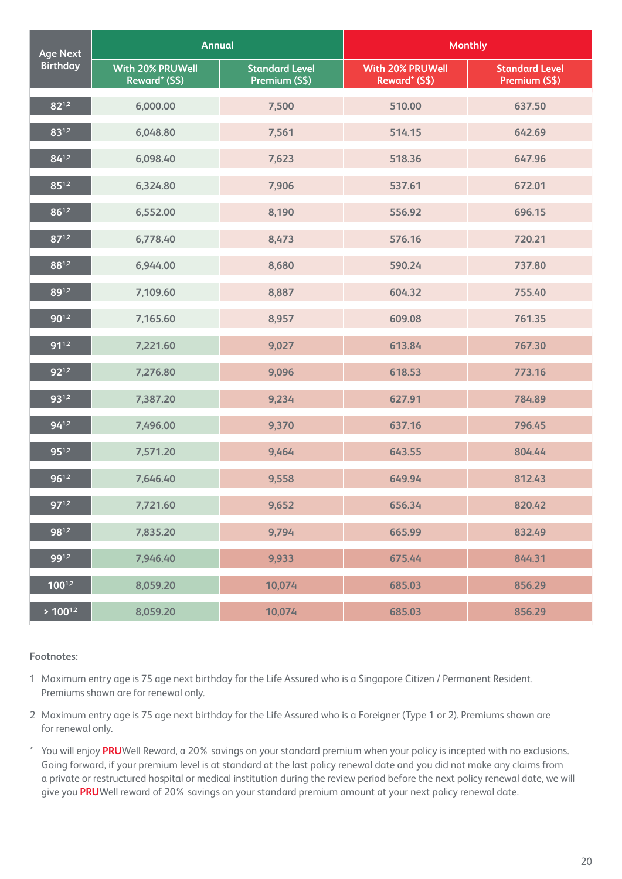| <b>Age Next</b> | <b>Annual</b>                     |                                        | <b>Monthly</b>                           |                                        |
|-----------------|-----------------------------------|----------------------------------------|------------------------------------------|----------------------------------------|
| <b>Birthday</b> | With 20% PRUWell<br>Reward* (S\$) | <b>Standard Level</b><br>Premium (S\$) | <b>With 20% PRUWell</b><br>Reward* (S\$) | <b>Standard Level</b><br>Premium (S\$) |
| $82^{1,2}$      | 6,000.00                          | 7,500                                  | 510.00                                   | 637.50                                 |
| 831,2           | 6,048.80                          | 7,561                                  | 514.15                                   | 642.69                                 |
| $84^{1,2}$      | 6,098.40                          | 7,623                                  | 518.36                                   | 647.96                                 |
| $85^{1,2}$      | 6,324.80                          | 7,906                                  | 537.61                                   | 672.01                                 |
| $86^{1,2}$      | 6,552.00                          | 8,190                                  | 556.92                                   | 696.15                                 |
| $87^{1,2}$      | 6,778.40                          | 8,473                                  | 576.16                                   | 720.21                                 |
| 881,2           | 6,944.00                          | 8,680                                  | 590.24                                   | 737.80                                 |
| 891,2           | 7,109.60                          | 8,887                                  | 604.32                                   | 755.40                                 |
| $90^{1,2}$      | 7,165.60                          | 8,957                                  | 609.08                                   | 761.35                                 |
| $91^{1,2}$      | 7,221.60                          | 9,027                                  | 613.84                                   | 767.30                                 |
| $92^{1,2}$      | 7,276.80                          | 9,096                                  | 618.53                                   | 773.16                                 |
| $93^{1,2}$      | 7,387.20                          | 9,234                                  | 627.91                                   | 784.89                                 |
| $94^{1,2}$      | 7,496.00                          | 9,370                                  | 637.16                                   | 796.45                                 |
| $95^{1,2}$      | 7,571.20                          | 9,464                                  | 643.55                                   | 804.44                                 |
| $96^{1,2}$      | 7,646.40                          | 9,558                                  | 649.94                                   | 812.43                                 |
| $97^{1,2}$      | 7,721.60                          | 9,652                                  | 656.34                                   | 820.42                                 |
| $98^{1,2}$      | 7,835.20                          | 9,794                                  | 665.99                                   | 832.49                                 |
| $99^{1,2}$      | 7,946.40                          | 9,933                                  | 675.44                                   | 844.31                                 |
| $100^{1,2}$     | 8,059.20                          | 10,074                                 | 685.03                                   | 856.29                                 |
| $> 100^{1,2}$   | 8,059.20                          | 10,074                                 | 685.03                                   | 856.29                                 |

1 Maximum entry age is 75 age next birthday for the Life Assured who is a Singapore Citizen / Permanent Resident. Premiums shown are for renewal only.

- 2 Maximum entry age is 75 age next birthday for the Life Assured who is a Foreigner (Type 1 or 2). Premiums shown are for renewal only.
- \* You will enjoy **PRU**Well Reward, a 20% savings on your standard premium when your policy is incepted with no exclusions. Going forward, if your premium level is at standard at the last policy renewal date and you did not make any claims from a private or restructured hospital or medical institution during the review period before the next policy renewal date, we will give you **PRU**Well reward of 20% savings on your standard premium amount at your next policy renewal date.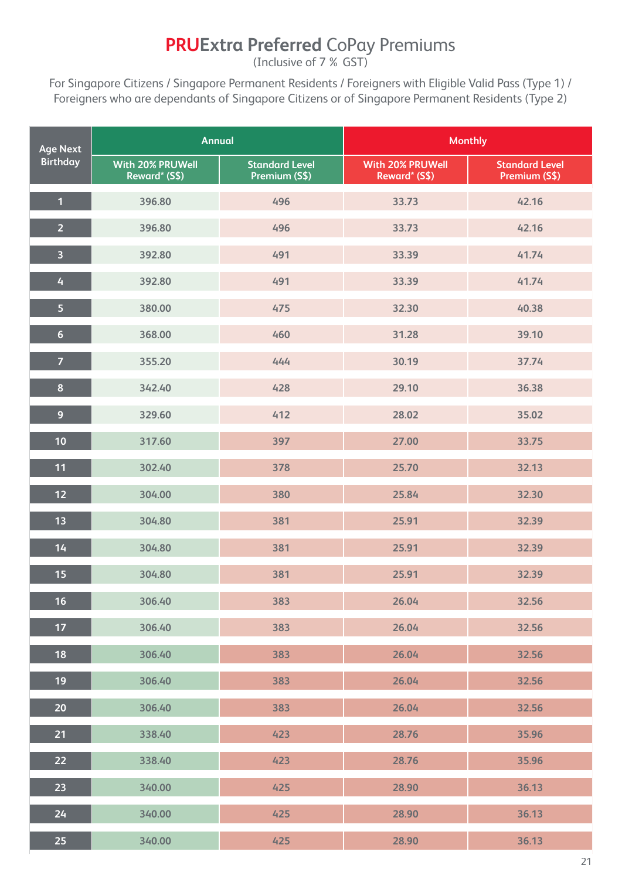## **PRUExtra Preferred** CoPay Premiums

(Inclusive of 7% GST)

For Singapore Citizens / Singapore Permanent Residents / Foreigners with Eligible Valid Pass (Type 1) / Foreigners who are dependants of Singapore Citizens or of Singapore Permanent Residents (Type 2)

| <b>Age Next</b>         | <b>Annual</b>                     |                                        | <b>Monthly</b>                    |                                        |
|-------------------------|-----------------------------------|----------------------------------------|-----------------------------------|----------------------------------------|
| <b>Birthday</b>         | With 20% PRUWell<br>Reward* (S\$) | <b>Standard Level</b><br>Premium (S\$) | With 20% PRUWell<br>Reward* (S\$) | <b>Standard Level</b><br>Premium (S\$) |
| $\mathbf{1}$            | 396.80                            | 496                                    | 33.73                             | 42.16                                  |
| $\overline{2}$          | 396.80                            | 496                                    | 33.73                             | 42.16                                  |
| $\overline{\mathbf{3}}$ | 392.80                            | 491                                    | 33.39                             | 41.74                                  |
| 4                       | 392.80                            | 491                                    | 33.39                             | 41.74                                  |
| $\overline{\mathbf{5}}$ | 380.00                            | 475                                    | 32.30                             | 40.38                                  |
| $6\phantom{a}$          | 368.00                            | 460                                    | 31.28                             | 39.10                                  |
| $\overline{7}$          | 355.20                            | 444                                    | 30.19                             | 37.74                                  |
| $\boldsymbol{8}$        | 342.40                            | 428                                    | 29.10                             | 36.38                                  |
| $\overline{9}$          | 329.60                            | 412                                    | 28.02                             | 35.02                                  |
| 10                      | 317.60                            | 397                                    | 27.00                             | 33.75                                  |
| 11                      | 302.40                            | 378                                    | 25.70                             | 32.13                                  |
| 12                      | 304.00                            | 380                                    | 25.84                             | 32.30                                  |
| 13                      | 304.80                            | 381                                    | 25.91                             | 32.39                                  |
| 14                      | 304.80                            | 381                                    | 25.91                             | 32.39                                  |
| 15                      | 304.80                            | 381                                    | 25.91                             | 32.39                                  |
| 16                      | 306.40                            | 383                                    | 26.04                             | 32.56                                  |
| 17 <sub>2</sub>         | 306.40                            | 383                                    | 26.04                             | 32.56                                  |
| 18                      | 306.40                            | 383                                    | 26.04                             | 32.56                                  |
| 19                      | 306.40                            | 383                                    | 26.04                             | 32.56                                  |
| 20                      | 306.40                            | 383                                    | 26.04                             | 32.56                                  |
| 21                      | 338.40                            | 423                                    | 28.76                             | 35.96                                  |
| 22                      | 338.40                            | 423                                    | 28.76                             | 35.96                                  |
| 23                      | 340.00                            | 425                                    | 28.90                             | 36.13                                  |
| 24                      | 340.00                            | 425                                    | 28.90                             | 36.13                                  |
| 25                      | 340.00                            | 425                                    | 28.90                             | 36.13                                  |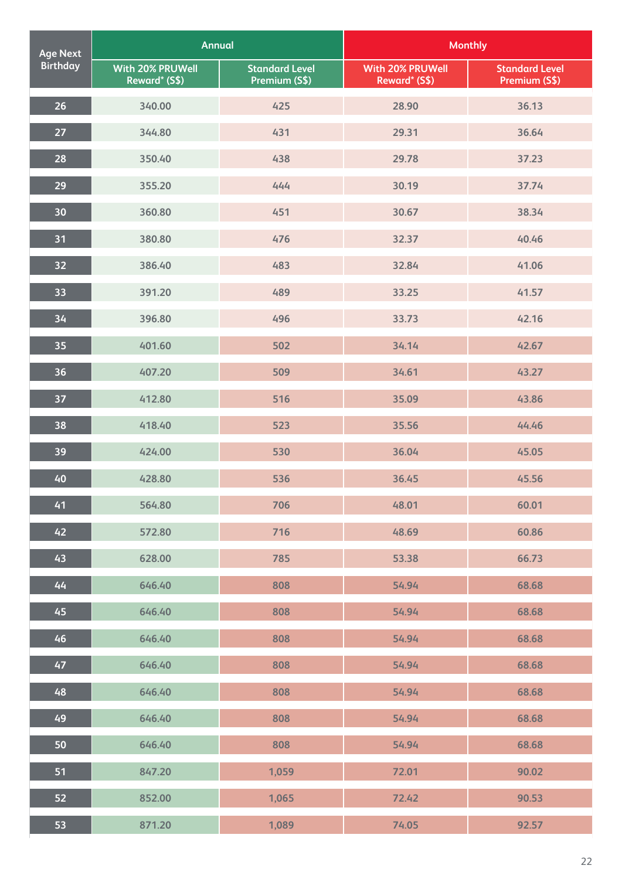| <b>Age Next</b> | <b>Annual</b>                     |                                        | <b>Monthly</b>                           |                                        |
|-----------------|-----------------------------------|----------------------------------------|------------------------------------------|----------------------------------------|
| <b>Birthday</b> | With 20% PRUWell<br>Reward* (S\$) | <b>Standard Level</b><br>Premium (S\$) | <b>With 20% PRUWell</b><br>Reward* (S\$) | <b>Standard Level</b><br>Premium (S\$) |
| 26              | 340.00                            | 425                                    | 28.90                                    | 36.13                                  |
| 27              | 344.80                            | 431                                    | 29.31                                    | 36.64                                  |
| 28              | 350.40                            | 438                                    | 29.78                                    | 37.23                                  |
| 29              | 355.20                            | 444                                    | 30.19                                    | 37.74                                  |
| 30              | 360.80                            | 451                                    | 30.67                                    | 38.34                                  |
| 31              | 380.80                            | 476                                    | 32.37                                    | 40.46                                  |
| 32              | 386.40                            | 483                                    | 32.84                                    | 41.06                                  |
| 33              | 391.20                            | 489                                    | 33.25                                    | 41.57                                  |
| 34              | 396.80                            | 496                                    | 33.73                                    | 42.16                                  |
| 35              | 401.60                            | 502                                    | 34.14                                    | 42.67                                  |
| 36              | 407.20                            | 509                                    | 34.61                                    | 43.27                                  |
| 37              | 412.80                            | 516                                    | 35.09                                    | 43.86                                  |
| 38              | 418.40                            | 523                                    | 35.56                                    | 44.46                                  |
| 39              | 424.00                            | 530                                    | 36.04                                    | 45.05                                  |
| 40              | 428.80                            | 536                                    | 36.45                                    | 45.56                                  |
| 41              | 564.80                            | 706                                    | 48.01                                    | 60.01                                  |
| 42              | 572.80                            | 716                                    | 48.69                                    | 60.86                                  |
| 43              | 628.00                            | 785                                    | 53.38                                    | 66.73                                  |
| 44              | 646.40                            | 808                                    | 54.94                                    | 68.68                                  |
| 45              | 646.40                            | 808                                    | 54.94                                    | 68.68                                  |
| 46              | 646.40                            | 808                                    | 54.94                                    | 68.68                                  |
| 47              | 646.40                            | 808                                    | 54.94                                    | 68.68                                  |
| 48              | 646.40                            | 808                                    | 54.94                                    | 68.68                                  |
| 49              | 646.40                            | 808                                    | 54.94                                    | 68.68                                  |
| 50              | 646.40                            | 808                                    | 54.94                                    | 68.68                                  |
| 51              | 847.20                            | 1,059                                  | 72.01                                    | 90.02                                  |
| 52              | 852.00                            | 1,065                                  | 72.42                                    | 90.53                                  |
| 53              | 871.20                            | 1,089                                  | 74.05                                    | 92.57                                  |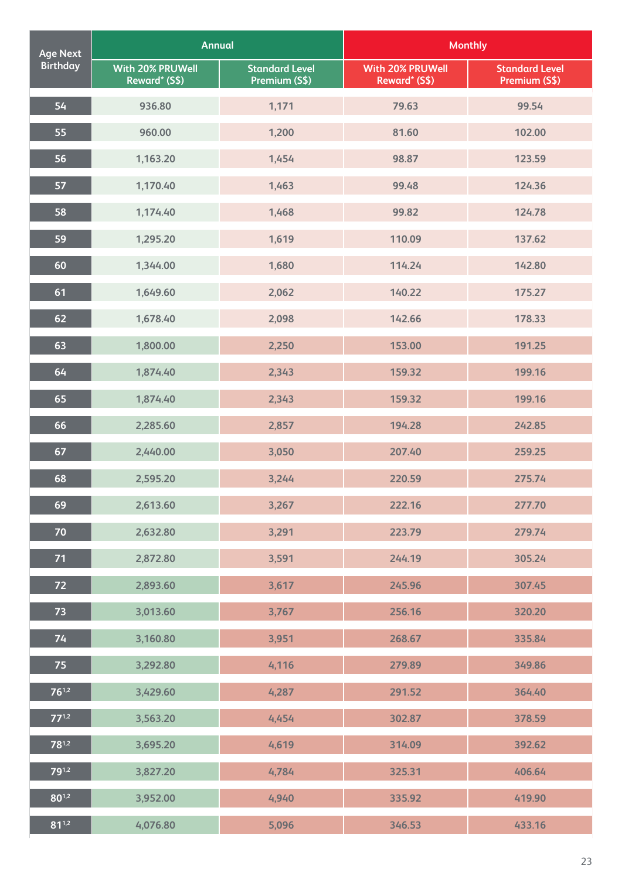| <b>Age Next</b> | <b>Annual</b>                     |                                        | <b>Monthly</b>                           |                                        |
|-----------------|-----------------------------------|----------------------------------------|------------------------------------------|----------------------------------------|
| <b>Birthday</b> | With 20% PRUWell<br>Reward* (S\$) | <b>Standard Level</b><br>Premium (S\$) | <b>With 20% PRUWell</b><br>Reward* (S\$) | <b>Standard Level</b><br>Premium (S\$) |
| 54              | 936.80                            | 1,171                                  | 79.63                                    | 99.54                                  |
| 55              | 960.00                            | 1,200                                  | 81.60                                    | 102.00                                 |
| 56              | 1,163.20                          | 1,454                                  | 98.87                                    | 123.59                                 |
| 57              | 1,170.40                          | 1,463                                  | 99.48                                    | 124.36                                 |
| 58              | 1,174.40                          | 1,468                                  | 99.82                                    | 124.78                                 |
| 59              | 1,295.20                          | 1,619                                  | 110.09                                   | 137.62                                 |
| 60              | 1,344.00                          | 1,680                                  | 114.24                                   | 142.80                                 |
| 61              | 1,649.60                          | 2,062                                  | 140.22                                   | 175.27                                 |
| 62              | 1,678.40                          | 2,098                                  | 142.66                                   | 178.33                                 |
| 63              | 1,800.00                          | 2,250                                  | 153.00                                   | 191.25                                 |
| 64              | 1,874.40                          | 2,343                                  | 159.32                                   | 199.16                                 |
| 65              | 1,874.40                          | 2,343                                  | 159.32                                   | 199.16                                 |
| 66              | 2,285.60                          | 2,857                                  | 194.28                                   | 242.85                                 |
| 67              | 2,440.00                          | 3,050                                  | 207.40                                   | 259.25                                 |
| 68              | 2,595.20                          | 3,244                                  | 220.59                                   | 275.74                                 |
| 69              | 2,613.60                          | 3,267                                  | 222.16                                   | 277.70                                 |
| 70              | 2,632.80                          | 3,291                                  | 223.79                                   | 279.74                                 |
| 71              | 2,872.80                          | 3,591                                  | 244.19                                   | 305.24                                 |
| 72              | 2,893.60                          | 3,617                                  | 245.96                                   | 307.45                                 |
| 73              | 3,013.60                          | 3,767                                  | 256.16                                   | 320.20                                 |
| 74              | 3,160.80                          | 3,951                                  | 268.67                                   | 335.84                                 |
| 75              | 3,292.80                          | 4,116                                  | 279.89                                   | 349.86                                 |
| $76^{1,2}$      | 3,429.60                          | 4,287                                  | 291.52                                   | 364.40                                 |
| $77^{1,2}$      | 3,563.20                          | 4,454                                  | 302.87                                   | 378.59                                 |
| $78^{1,2}$      | 3,695.20                          | 4,619                                  | 314.09                                   | 392.62                                 |
| $79^{1,2}$      | 3,827.20                          | 4,784                                  | 325.31                                   | 406.64                                 |
| $80^{1,2}$      | 3,952.00                          | 4,940                                  | 335.92                                   | 419.90                                 |
| $81^{1,2}$      | 4,076.80                          | 5,096                                  | 346.53                                   | 433.16                                 |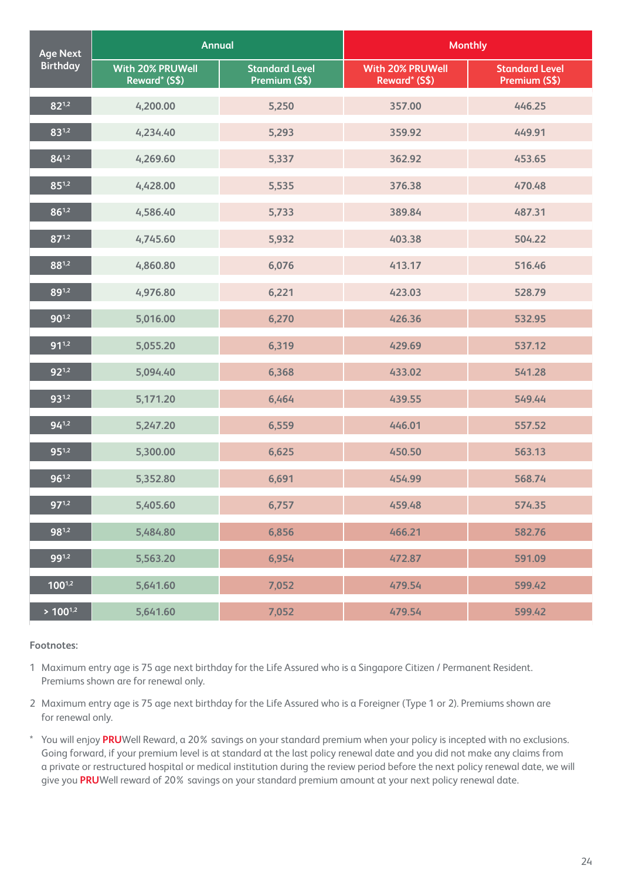| <b>Age Next</b> | <b>Annual</b>                     |                                        | <b>Monthly</b>                           |                                        |
|-----------------|-----------------------------------|----------------------------------------|------------------------------------------|----------------------------------------|
| <b>Birthday</b> | With 20% PRUWell<br>Reward* (S\$) | <b>Standard Level</b><br>Premium (S\$) | <b>With 20% PRUWell</b><br>Reward* (S\$) | <b>Standard Level</b><br>Premium (S\$) |
| $82^{1,2}$      | 4,200.00                          | 5,250                                  | 357.00                                   | 446.25                                 |
| 831,2           | 4,234.40                          | 5,293                                  | 359.92                                   | 449.91                                 |
| $84^{1,2}$      | 4,269.60                          | 5,337                                  | 362.92                                   | 453.65                                 |
| $85^{1,2}$      | 4,428.00                          | 5,535                                  | 376.38                                   | 470.48                                 |
| $86^{1,2}$      | 4,586.40                          | 5,733                                  | 389.84                                   | 487.31                                 |
| $87^{1,2}$      | 4,745.60                          | 5,932                                  | 403.38                                   | 504.22                                 |
| 881,2           | 4,860.80                          | 6,076                                  | 413.17                                   | 516.46                                 |
| 891,2           | 4,976.80                          | 6,221                                  | 423.03                                   | 528.79                                 |
| $90^{1,2}$      | 5,016.00                          | 6,270                                  | 426.36                                   | 532.95                                 |
| $91^{1,2}$      | 5,055.20                          | 6,319                                  | 429.69                                   | 537.12                                 |
| $92^{1,2}$      | 5,094.40                          | 6,368                                  | 433.02                                   | 541.28                                 |
| $93^{1,2}$      | 5,171.20                          | 6,464                                  | 439.55                                   | 549.44                                 |
| $94^{1,2}$      | 5,247.20                          | 6,559                                  | 446.01                                   | 557.52                                 |
| $95^{1,2}$      | 5,300.00                          | 6,625                                  | 450.50                                   | 563.13                                 |
| $96^{1,2}$      | 5,352.80                          | 6,691                                  | 454.99                                   | 568.74                                 |
| $97^{1,2}$      | 5,405.60                          | 6,757                                  | 459.48                                   | 574.35                                 |
| 981,2           | 5,484.80                          | 6,856                                  | 466.21                                   | 582.76                                 |
| $99^{1,2}$      | 5,563.20                          | 6,954                                  | 472.87                                   | 591.09                                 |
| $100^{1,2}$     | 5,641.60                          | 7,052                                  | 479.54                                   | 599.42                                 |
| $> 100^{1,2}$   | 5,641.60                          | 7,052                                  | 479.54                                   | 599.42                                 |

1 Maximum entry age is 75 age next birthday for the Life Assured who is a Singapore Citizen / Permanent Resident. Premiums shown are for renewal only.

- 2 Maximum entry age is 75 age next birthday for the Life Assured who is a Foreigner (Type 1 or 2). Premiums shown are for renewal only.
- \* You will enjoy **PRU**Well Reward, a 20% savings on your standard premium when your policy is incepted with no exclusions. Going forward, if your premium level is at standard at the last policy renewal date and you did not make any claims from a private or restructured hospital or medical institution during the review period before the next policy renewal date, we will give you **PRU**Well reward of 20% savings on your standard premium amount at your next policy renewal date.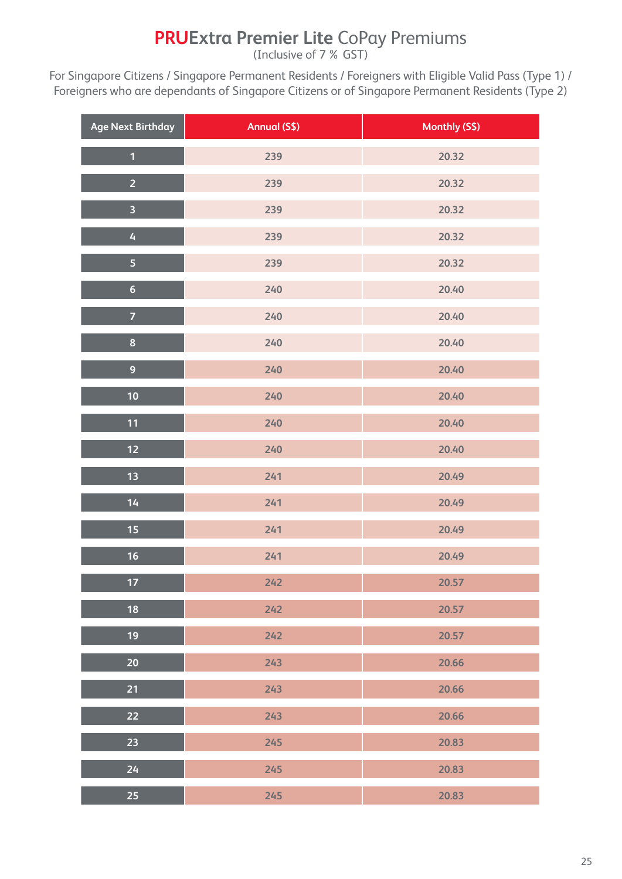## **PRUExtra Premier Lite** CoPay Premiums

(Inclusive of 7% GST)

For Singapore Citizens / Singapore Permanent Residents / Foreigners with Eligible Valid Pass (Type 1) / Foreigners who are dependants of Singapore Citizens or of Singapore Permanent Residents (Type 2)

| <b>Age Next Birthday</b> | <b>Annual (S\$)</b> | Monthly (S\$) |
|--------------------------|---------------------|---------------|
| $\overline{\mathbf{1}}$  | 239                 | 20.32         |
| $\overline{2}$           | 239                 | 20.32         |
| $\overline{\mathbf{3}}$  | 239                 | 20.32         |
| $\overline{4}$           | 239                 | 20.32         |
| 5                        | 239                 | 20.32         |
| $6\phantom{a}$           | 240                 | 20.40         |
| $\overline{7}$           | 240                 | 20.40         |
| $\bf{8}$                 | 240                 | 20.40         |
| $\overline{9}$           | 240                 | 20.40         |
| 10                       | 240                 | 20.40         |
| 11                       | 240                 | 20.40         |
| $12$                     | 240                 | 20.40         |
| 13                       | 241                 | 20.49         |
| 14                       | 241                 | 20.49         |
| 15                       | 241                 | 20.49         |
| 16                       | 241                 | 20.49         |
| $17$                     | 242                 | 20.57         |
| 18                       | 242                 | 20.57         |
| 19                       | 242                 | 20.57         |
| 20                       | 243                 | 20.66         |
| 21                       | 243                 | 20.66         |
| 22                       | 243                 | 20.66         |
| 23                       | 245                 | 20.83         |
| 24                       | 245                 | 20.83         |
| 25                       | 245                 | 20.83         |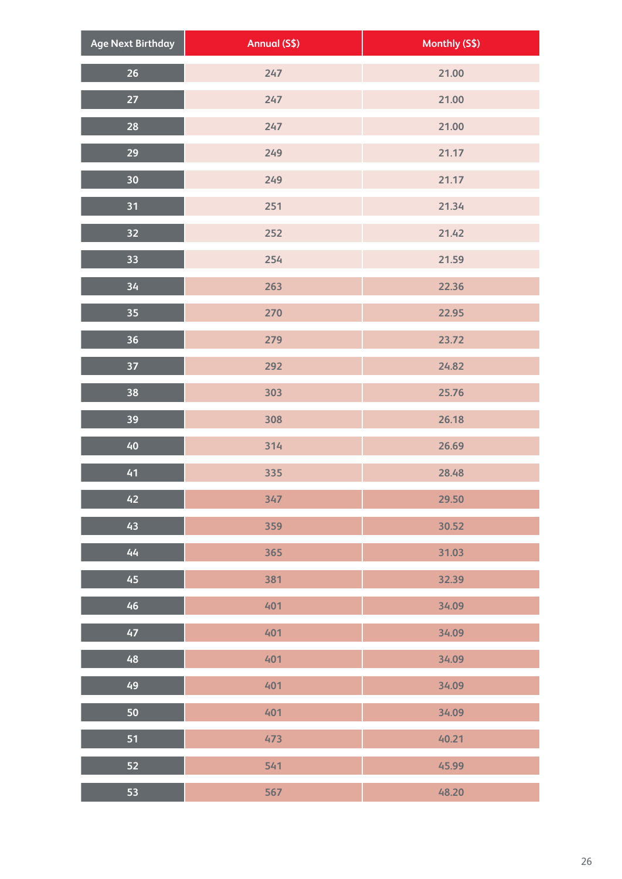| <b>Age Next Birthday</b> | <b>Annual (S\$)</b> | Monthly (S\$) |
|--------------------------|---------------------|---------------|
| $26\phantom{.}$          | 247                 | 21.00         |
| 27                       | 247                 | 21.00         |
| 28                       | 247                 | 21.00         |
| $\overline{29}$          | 249                 | 21.17         |
| 30                       | 249                 | 21.17         |
| 31                       | 251                 | 21.34         |
| $\overline{32}$          | 252                 | 21.42         |
| 33                       | 254                 | 21.59         |
| 34                       | 263                 | 22.36         |
| 35 <sub>1</sub>          | 270                 | 22.95         |
| 36                       | 279                 | 23.72         |
| 37                       | 292                 | 24.82         |
| 38                       | 303                 | 25.76         |
| 39                       | 308                 | 26.18         |
| 40                       | 314                 | 26.69         |
| 41                       | 335                 | 28.48         |
| 42                       | 347                 | 29.50         |
| 43                       | 359                 | 30.52         |
| 44                       | 365                 | 31.03         |
| 45                       | 381                 | 32.39         |
| 46                       | 401                 | 34.09         |
| 47                       | 401                 | 34.09         |
| 48                       | 401                 | 34.09         |
| 49                       | 401                 | 34.09         |
| 50                       | 401                 | 34.09         |
| 51                       | 473                 | 40.21         |
| 52                       | 541                 | 45.99         |
| 53                       | 567                 | 48.20         |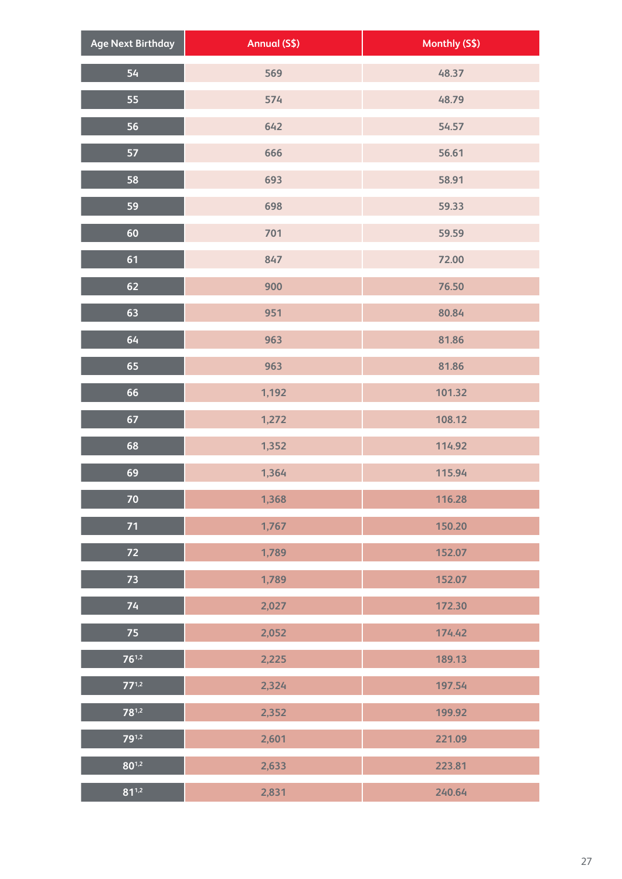| <b>Age Next Birthday</b> | Annual (S\$) | Monthly (S\$) |
|--------------------------|--------------|---------------|
| 54                       | 569          | 48.37         |
| 55                       | 574          | 48.79         |
| 56                       | 642          | 54.57         |
| 57                       | 666          | 56.61         |
| 58                       | 693          | 58.91         |
| 59                       | 698          | 59.33         |
| 60                       | 701          | 59.59         |
| 61                       | 847          | 72.00         |
| 62                       | 900          | 76.50         |
| 63                       | 951          | 80.84         |
| 64                       | 963          | 81.86         |
| 65                       | 963          | 81.86         |
| 66                       | 1,192        | 101.32        |
| 67                       | 1,272        | 108.12        |
| 68                       | 1,352        | 114.92        |
| 69                       | 1,364        | 115.94        |
| 70                       | 1,368        | 116.28        |
| 71                       | 1,767        | 150.20        |
| 72                       | 1,789        | 152.07        |
| 73                       | 1,789        | 152.07        |
| 74                       | 2,027        | 172.30        |
| 75                       | 2,052        | 174.42        |
| $76^{1,2}$               | 2,225        | 189.13        |
| $77^{1,2}$               | 2,324        | 197.54        |
| $78^{1,2}$               | 2,352        | 199.92        |
| 791,2                    | 2,601        | 221.09        |
| $80^{1,2}$               | 2,633        | 223.81        |
| $81^{1,2}$               | 2,831        | 240.64        |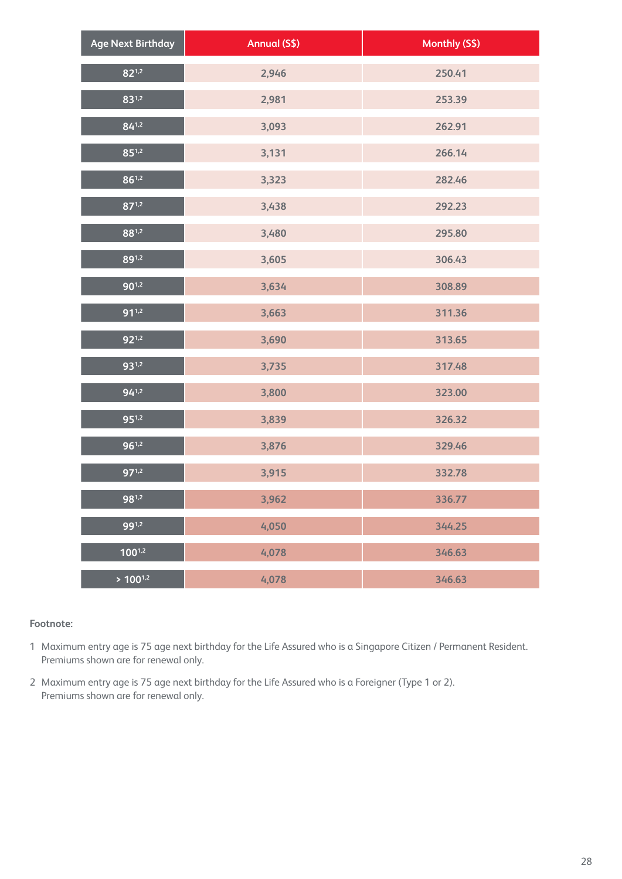| <b>Age Next Birthday</b> | <b>Annual (S\$)</b> | Monthly (S\$) |
|--------------------------|---------------------|---------------|
| $82^{1,2}$               | 2,946               | 250.41        |
| $83^{1,2}$               | 2,981               | 253.39        |
| $84^{1,2}$               | 3,093               | 262.91        |
| $85^{1,2}$               | 3,131               | 266.14        |
| $86^{1,2}$               | 3,323               | 282.46        |
| $87^{1,2}$               | 3,438               | 292.23        |
| $88^{1,2}$               | 3,480               | 295.80        |
| 891,2                    | 3,605               | 306.43        |
| $90^{1,2}$               | 3,634               | 308.89        |
| $91^{1,2}$               | 3,663               | 311.36        |
| $92^{1,2}$               | 3,690               | 313.65        |
| $93^{1,2}$               | 3,735               | 317.48        |
| $94^{1,2}$               | 3,800               | 323.00        |
| $95^{1,2}$               | 3,839               | 326.32        |
| $96^{1,2}$               | 3,876               | 329.46        |
| $97^{1,2}$               | 3,915               | 332.78        |
| $98^{1,2}$               | 3,962               | 336.77        |
| 991,2                    | 4,050               | 344.25        |
| $100^{1,2}$              | 4,078               | 346.63        |
| $> 100^{1,2}$            | 4,078               | 346.63        |

- 1 Maximum entry age is 75 age next birthday for the Life Assured who is a Singapore Citizen / Permanent Resident. Premiums shown are for renewal only.
- 2 Maximum entry age is 75 age next birthday for the Life Assured who is a Foreigner (Type 1 or 2). Premiums shown are for renewal only.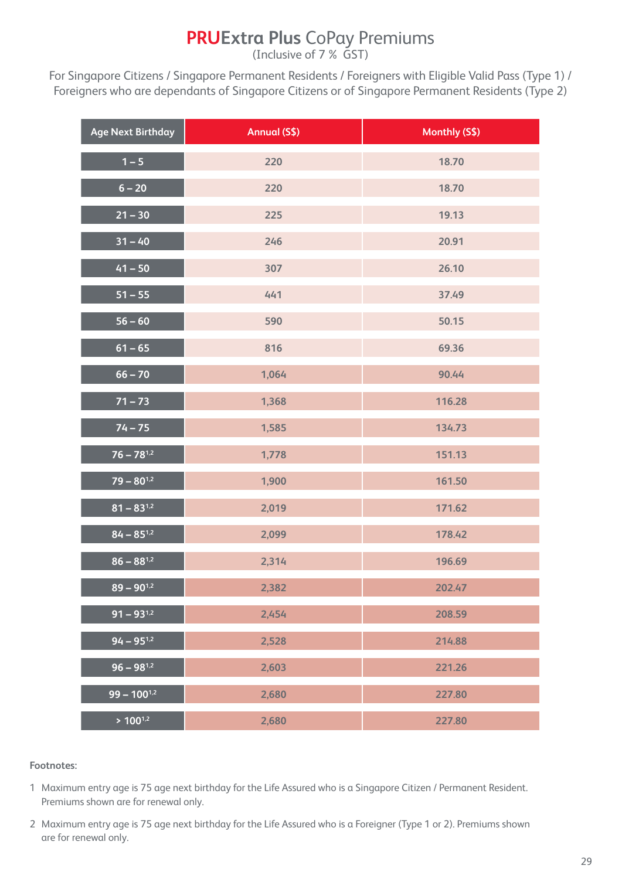## **PRUExtra Plus** CoPay Premiums

(Inclusive of 7% GST)

For Singapore Citizens / Singapore Permanent Residents / Foreigners with Eligible Valid Pass (Type 1) / Foreigners who are dependants of Singapore Citizens or of Singapore Permanent Residents (Type 2)

| <b>Age Next Birthday</b>              | Annual (S\$) | Monthly (S\$) |
|---------------------------------------|--------------|---------------|
| $1 - 5$                               | 220          | 18.70         |
| $6 - 20$                              | 220          | 18.70         |
| $21 - 30$                             | 225          | 19.13         |
| $31 - 40$                             | 246          | 20.91         |
| $41 - 50$                             | 307          | 26.10         |
| $51 - 55$                             | 441          | 37.49         |
| $56 - 60$                             | 590          | 50.15         |
| $61 - 65$                             | 816          | 69.36         |
| $66 - 70$                             | 1,064        | 90.44         |
| $71 - 73$                             | 1,368        | 116.28        |
| $74 - 75$                             | 1,585        | 134.73        |
| $76 - 78^{1,2}$                       | 1,778        | 151.13        |
| $79 - 80^{1,2}$                       | 1,900        | 161.50        |
| $81 - 83^{1,2}$                       | 2,019        | 171.62        |
| $84 - 85^{1,2}$                       | 2,099        | 178.42        |
| $86 - 88^{1,2}$                       | 2,314        | 196.69        |
| $89 - 90^{1,2}$                       | 2,382        | 202.47        |
| $\overline{91} - \overline{93^{1,2}}$ | 2,454        | 208.59        |
| $94 - 95^{1,2}$                       | 2,528        | 214.88        |
| $96 - 98^{1,2}$                       | 2,603        | 221.26        |
| $99 - 100^{1,2}$                      | 2,680        | 227.80        |
| $> 100^{1,2}$                         | 2,680        | 227.80        |

- 1 Maximum entry age is 75 age next birthday for the Life Assured who is a Singapore Citizen / Permanent Resident. Premiums shown are for renewal only.
- 2 Maximum entry age is 75 age next birthday for the Life Assured who is a Foreigner (Type 1 or 2). Premiums shown are for renewal only.